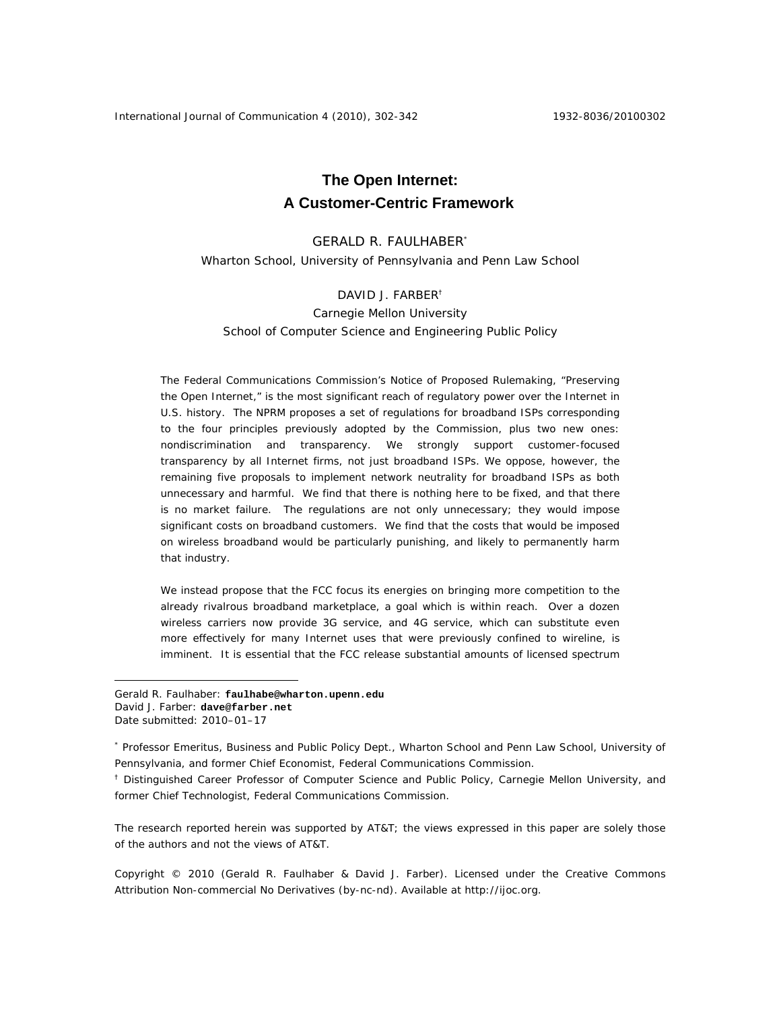International Journal of Communication 4 (2010), 302-342 1932-8036/20100302

# **The Open Internet: A Customer-Centric Framework**

# GERALD R. FAULHABER\*

Wharton School, University of Pennsylvania and Penn Law School

# DAVID J. FARBER†

# Carnegie Mellon University School of Computer Science and Engineering Public Policy

The Federal Communications Commission's Notice of Proposed Rulemaking, "Preserving the Open Internet," is the most significant reach of regulatory power over the Internet in U.S. history. The NPRM proposes a set of regulations for broadband ISPs corresponding to the four principles previously adopted by the Commission, plus two new ones: nondiscrimination and transparency. We strongly support customer-focused transparency by *all* Internet firms, not just broadband ISPs. We oppose, however, the remaining five proposals to implement network neutrality for broadband ISPs as both unnecessary and harmful. We find that there is nothing here to be fixed, and that there is no market failure. The regulations are not only unnecessary; they would impose significant costs on broadband customers. We find that the costs that would be imposed on wireless broadband would be particularly punishing, and likely to permanently harm that industry.

We instead propose that the FCC focus its energies on bringing more competition to the already rivalrous broadband marketplace, a goal which is within reach. Over a dozen wireless carriers now provide 3G service, and 4G service, which can substitute even more effectively for many Internet uses that were previously confined to wireline, is imminent. It is essential that the FCC release substantial amounts of licensed spectrum

 $\overline{a}$ 

The research reported herein was supported by AT&T; the views expressed in this paper are solely those of the authors and not the views of AT&T.

Copyright © 2010 (Gerald R. Faulhaber & David J. Farber). Licensed under the Creative Commons Attribution Non-commercial No Derivatives (by-nc-nd). Available at http://ijoc.org.

Gerald R. Faulhaber: **faulhabe@wharton.upenn.edu**  David J. Farber: **dave@farber.net** Date submitted: 2010–01–17

<sup>\*</sup> Professor Emeritus, Business and Public Policy Dept., Wharton School and Penn Law School, University of Pennsylvania, and former Chief Economist, Federal Communications Commission.

<sup>&</sup>lt;sup>†</sup> Distinguished Career Professor of Computer Science and Public Policy, Carnegie Mellon University, and former Chief Technologist, Federal Communications Commission.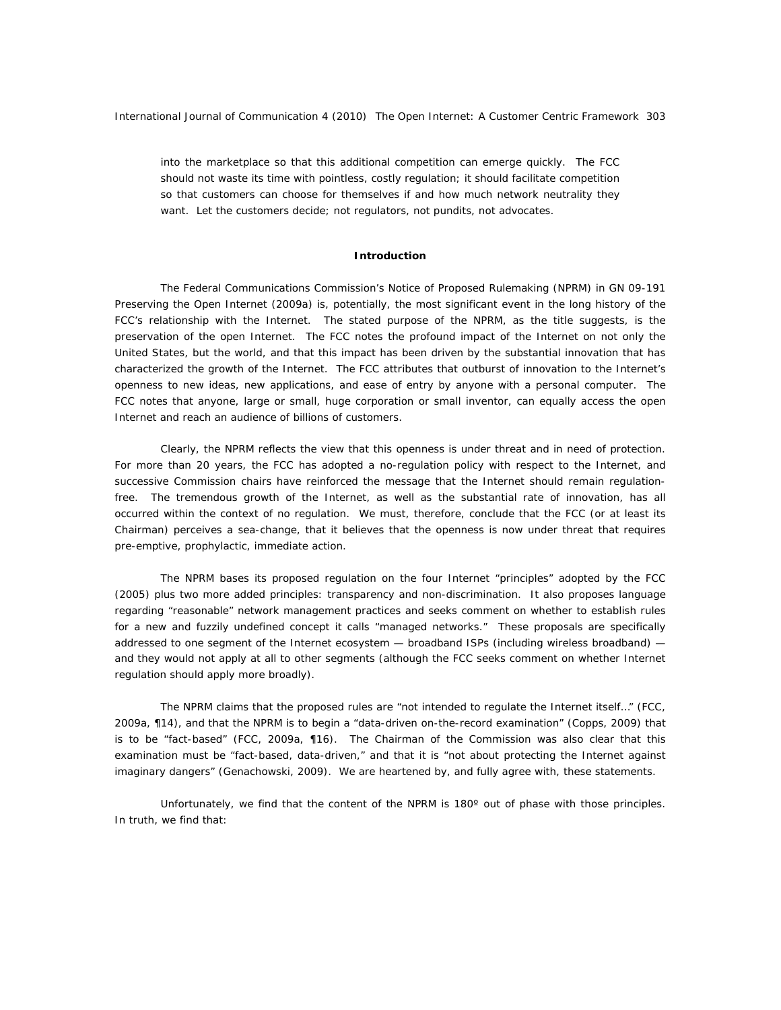into the marketplace so that this additional competition can emerge quickly. The FCC should not waste its time with pointless, costly regulation; it should facilitate competition so that customers can choose for themselves if and how much network neutrality they want. *Let the customers decide*; not regulators, not pundits, not advocates.

#### **Introduction**

The Federal Communications Commission's Notice of Proposed Rulemaking (NPRM) in GN 09-191 Preserving the Open Internet (2009a) is, potentially, the most significant event in the long history of the FCC's relationship with the Internet. The stated purpose of the NPRM, as the title suggests, is the preservation of the open Internet. The FCC notes the profound impact of the Internet on not only the United States, but the world, and that this impact has been driven by the substantial innovation that has characterized the growth of the Internet. The FCC attributes that outburst of innovation to the Internet's openness to new ideas, new applications, and ease of entry by anyone with a personal computer. The FCC notes that anyone, large or small, huge corporation or small inventor, can equally access the open Internet and reach an audience of billions of customers.

Clearly, the NPRM reflects the view that this openness is under threat and in need of protection. For more than 20 years, the FCC has adopted a no-regulation policy with respect to the Internet, and successive Commission chairs have reinforced the message that the Internet should remain regulationfree. The tremendous growth of the Internet, as well as the substantial rate of innovation, has all occurred within the context of no regulation. We must, therefore, conclude that the FCC (or at least its Chairman) perceives a sea-change, that it believes that the openness is now under threat that requires pre-emptive, prophylactic, immediate action.

The NPRM bases its proposed regulation on the four Internet "principles" adopted by the FCC (2005) plus two more added principles: transparency and non-discrimination. It also proposes language regarding "reasonable" network management practices and seeks comment on whether to establish rules for a new and fuzzily undefined concept it calls "managed networks." These proposals are specifically addressed to one segment of the Internet ecosystem — broadband ISPs (including wireless broadband) and they would not apply at all to other segments (although the FCC seeks comment on whether Internet regulation should apply more broadly).

The NPRM claims that the proposed rules are "not intended to regulate the Internet itself…" (FCC, 2009a, ¶14), and that the NPRM is to begin a "data-driven on-the-record examination" (Copps, 2009) that is to be "fact-based" (FCC, 2009a, ¶16). The Chairman of the Commission was also clear that this examination must be "fact-based, data-driven," and that it is "not about protecting the Internet against imaginary dangers" (Genachowski, 2009). We are heartened by, and fully agree with, these statements.

Unfortunately, we find that the content of the NPRM is 180° out of phase with those principles. In truth, we find that: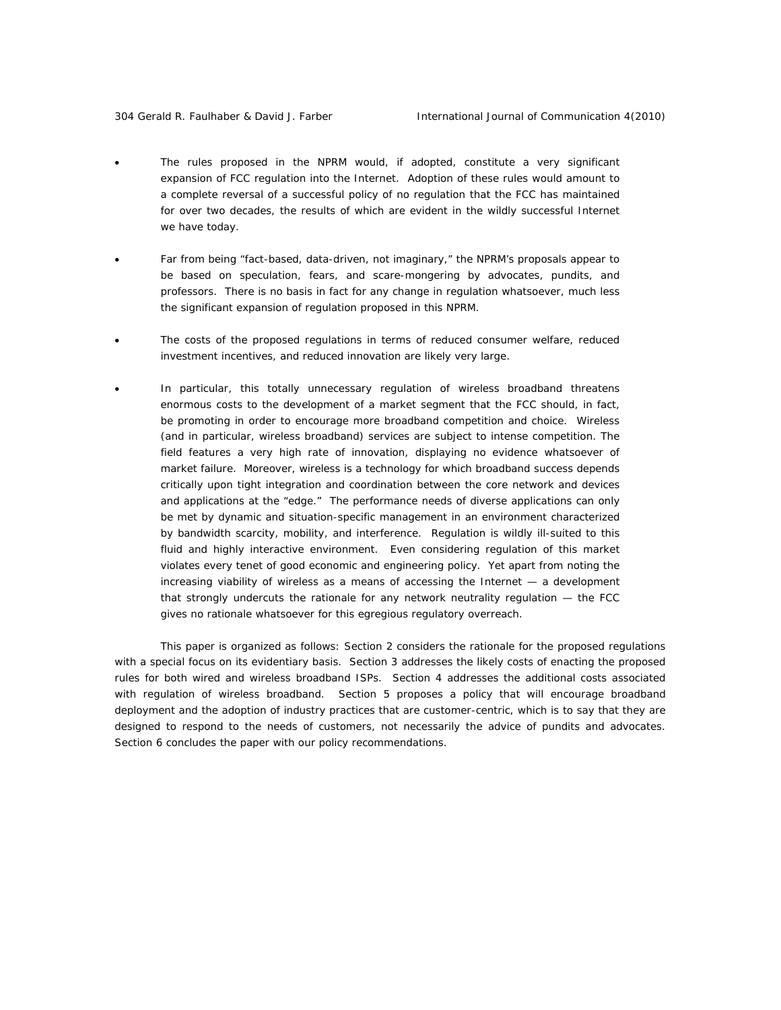- The rules proposed in the NPRM would, if adopted, constitute a very significant expansion of FCC regulation into the Internet. Adoption of these rules would amount to a complete reversal of a successful policy of no regulation that the FCC has maintained for over two decades, the results of which are evident in the wildly successful Internet we have today.
- Far from being "fact-based, data-driven, not imaginary," the NPRM's proposals appear to be based on speculation, fears, and scare-mongering by advocates, pundits, and professors. *There is no basis in fact for any change in regulation whatsoever,* much less the significant expansion of regulation proposed in this NPRM.
- The costs of the proposed regulations in terms of reduced consumer welfare, reduced investment incentives, and reduced innovation are likely very large.
- In particular, this totally unnecessary regulation of wireless broadband threatens enormous costs to the development of a market segment that the FCC should, in fact, be promoting in order to encourage more broadband competition and choice. Wireless (and in particular, wireless broadband) services are subject to intense competition. The field features a very high rate of innovation, displaying no evidence whatsoever of market failure. Moreover, wireless is a technology for which broadband success depends critically upon tight integration and coordination between the core network and devices and applications at the "edge." The performance needs of diverse applications can only be met by dynamic and situation-specific management in an environment characterized by bandwidth scarcity, mobility, and interference. Regulation is wildly ill-suited to this fluid and highly interactive environment. Even considering regulation of this market violates every tenet of good economic and engineering policy. Yet apart from noting the increasing viability of wireless as a means of accessing the Internet — a development that strongly undercuts the rationale for *any* network neutrality regulation — the FCC gives no rationale whatsoever for this egregious regulatory overreach.

This paper is organized as follows: Section 2 considers the rationale for the proposed regulations with a special focus on its evidentiary basis. Section 3 addresses the likely costs of enacting the proposed rules for both wired and wireless broadband ISPs. Section 4 addresses the additional costs associated with regulation of wireless broadband. Section 5 proposes a policy that will encourage broadband deployment and the adoption of industry practices that are *customer-centric*, which is to say that they are designed to respond to the needs of customers, not necessarily the advice of pundits and advocates. Section 6 concludes the paper with our policy recommendations.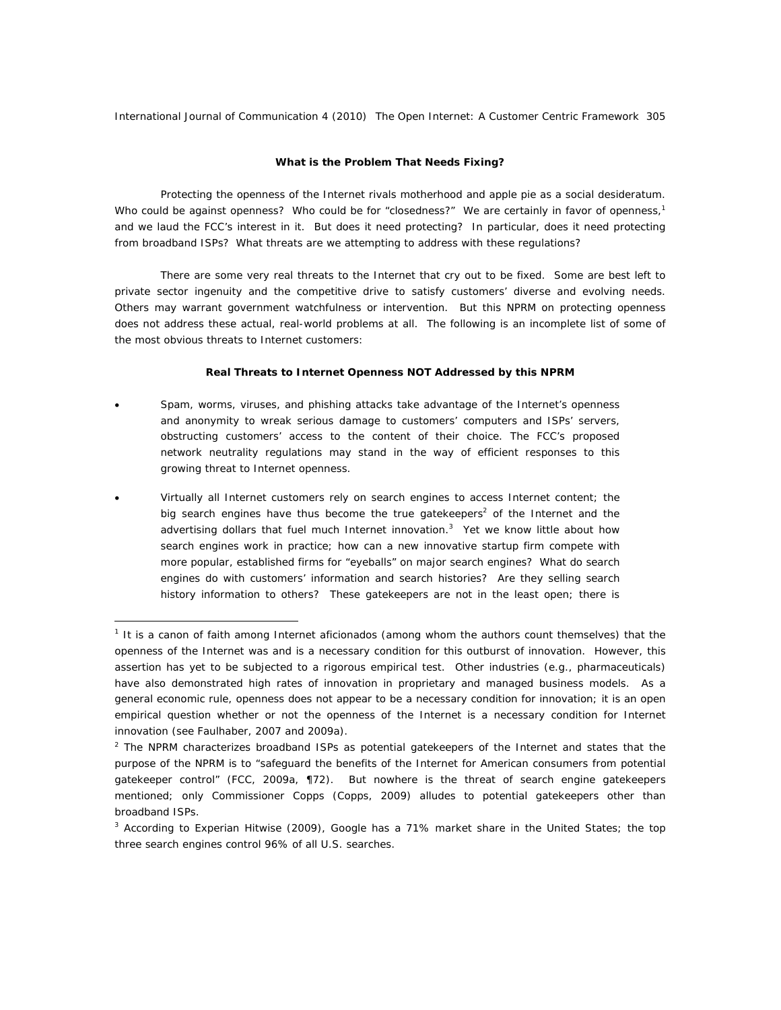# **What is the Problem That Needs Fixing?**

Protecting the openness of the Internet rivals motherhood and apple pie as a social desideratum. Who could be against openness? Who could be for "closedness?" We are certainly in favor of openness, $1$ and we laud the FCC's interest in it. But does it need protecting? In particular, does it need protecting from broadband ISPs? What threats are we attempting to address with these regulations?

There are some *very real threats to the Internet* that cry out to be fixed. Some are best left to private sector ingenuity and the competitive drive to satisfy customers' diverse and evolving needs. Others may warrant government watchfulness or intervention. But this NPRM on protecting openness does not address these actual, real-world problems at all. The following is an incomplete list of some of the most obvious threats to Internet customers:

# *Real Threats to Internet Openness NOT Addressed by this NPRM*

- Spam, worms, viruses, and phishing attacks take advantage of the Internet's openness and anonymity to wreak serious damage to customers' computers and ISPs' servers, obstructing customers' access to the content of their choice. The FCC's proposed network neutrality regulations may stand in the way of efficient responses to this growing threat to Internet openness.
- Virtually all Internet customers rely on search engines to access Internet content; the big search engines have thus become the true gatekeepers<sup>2</sup> of the Internet and the advertising dollars that fuel much Internet innovation. $3$  Yet we know little about how search engines work in practice; how can a new innovative startup firm compete with more popular, established firms for "eyeballs" on major search engines? What do search engines do with customers' information and search histories? Are they selling search history information to others? These gatekeepers are not in the least open; there is

<sup>&</sup>lt;sup>1</sup> It is a canon of faith among Internet aficionados (among whom the authors count themselves) that the openness of the Internet was and is a necessary condition for this outburst of innovation. However, this assertion has yet to be subjected to a rigorous empirical test. Other industries (e.g., pharmaceuticals) have also demonstrated high rates of innovation in proprietary and managed business models. As a *general* economic rule, openness does not appear to be a necessary condition for innovation; it is an *open empirical question* whether or not the openness *of the Internet* is a necessary condition for Internet innovation (see Faulhaber, 2007 and 2009a).

 $2$  The NPRM characterizes broadband ISPs as potential gatekeepers of the Internet and states that the purpose of the NPRM is to "safeguard the benefits of the Internet for American consumers from potential gatekeeper control" (FCC, 2009a, ¶72). But nowhere is the threat of search engine gatekeepers mentioned; only Commissioner Copps (Copps, 2009) alludes to potential gatekeepers other than broadband ISPs.

<sup>&</sup>lt;sup>3</sup> According to Experian Hitwise (2009), Google has a 71% market share in the United States; the top three search engines control 96% of all U.S. searches.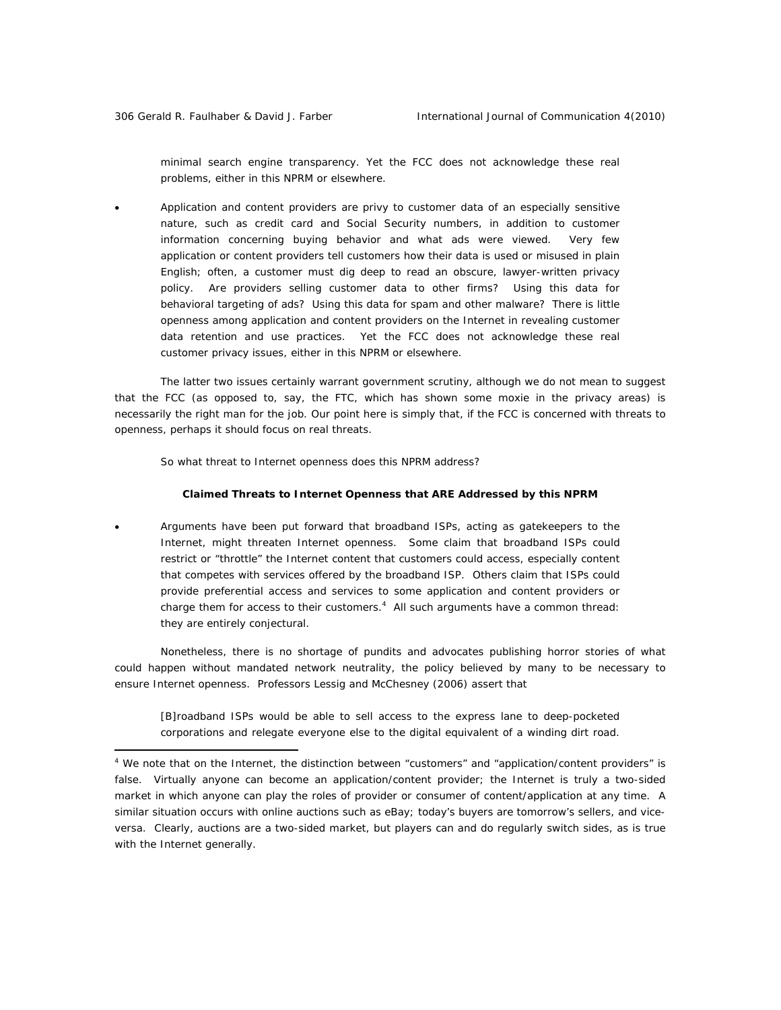minimal search engine transparency. Yet the FCC does not acknowledge these real problems, either in this NPRM or elsewhere.

• Application and content providers are privy to customer data of an especially sensitive nature, such as credit card and Social Security numbers, in addition to customer information concerning buying behavior and what ads were viewed. Very few application or content providers tell customers how their data is used or misused in plain English; often, a customer must dig deep to read an obscure, lawyer-written privacy policy. Are providers selling customer data to other firms? Using this data for behavioral targeting of ads? Using this data for spam and other malware? There is little openness among application and content providers on the Internet in revealing customer data retention and use practices. Yet the FCC does not acknowledge these real customer privacy issues, either in this NPRM or elsewhere.

The latter two issues certainly warrant government scrutiny, although we do not mean to suggest that the FCC (as opposed to, say, the FTC, which has shown some moxie in the privacy areas) is necessarily the right man for the job. Our point here is simply that, if the FCC is concerned with threats to openness, perhaps it should focus on real threats.

So what threat to Internet openness *does* this NPRM address?

#### *Claimed Threats to Internet Openness that ARE Addressed by this NPRM*

• Arguments have been put forward that broadband ISPs, acting as gatekeepers to the Internet, might threaten Internet openness. Some claim that broadband ISPs could restrict or "throttle" the Internet content that customers could access, especially content that competes with services offered by the broadband ISP. Others claim that ISPs could provide preferential access and services to some application and content providers or charge them for access to their customers.<sup>4</sup> All such arguments have a common thread: they are entirely conjectural.

Nonetheless, there is no shortage of pundits and advocates publishing horror stories of what *could* happen without mandated network neutrality, the policy believed by many to be necessary to ensure Internet openness. Professors Lessig and McChesney (2006) assert that

[B]roadband ISPs would be able to sell access to the express lane to deep-pocketed corporations and relegate everyone else to the digital equivalent of a winding dirt road.

<sup>&</sup>lt;sup>4</sup> We note that on the Internet, the distinction between "customers" and "application/content providers" is false. Virtually anyone can become an application/content provider; the Internet is truly a two-sided market in which anyone can play the roles of provider or consumer of content/application at any time. A similar situation occurs with online auctions such as eBay; today's buyers are tomorrow's sellers, and viceversa. Clearly, auctions are a two-sided market, but players can and do regularly switch sides, as is true with the Internet generally.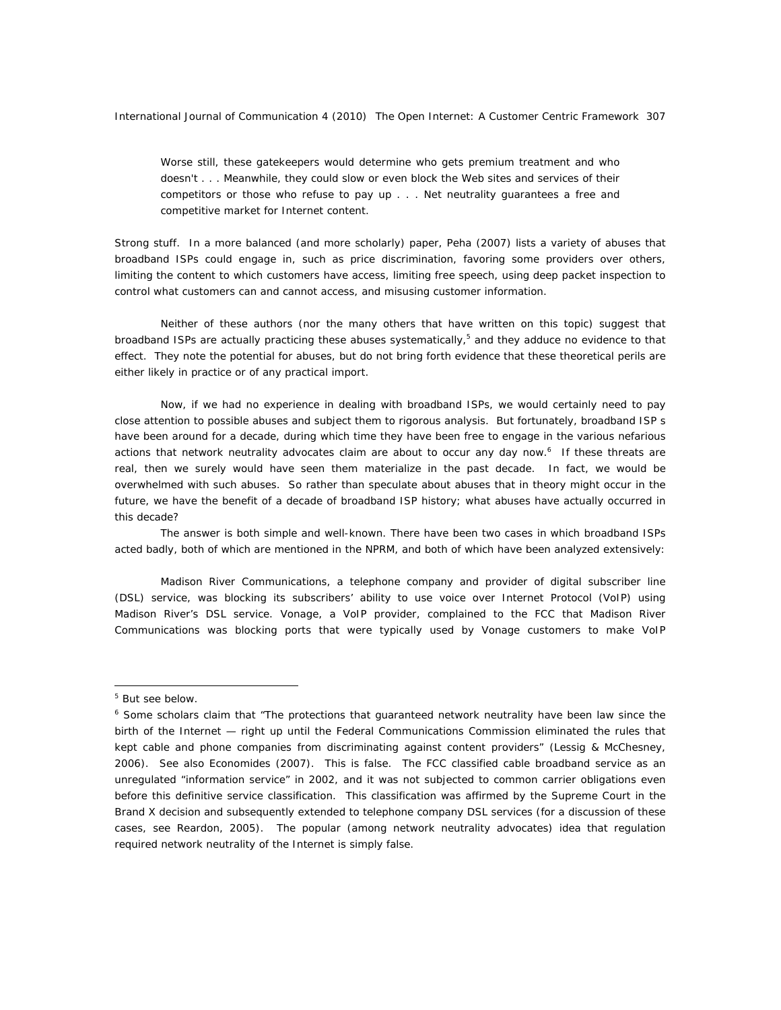Worse still, these gatekeepers would determine who gets premium treatment and who doesn't . . . Meanwhile, they could slow or even block the Web sites and services of their competitors or those who refuse to pay up . . . Net neutrality guarantees a free and competitive market for Internet content.

Strong stuff. In a more balanced (and more scholarly) paper, Peha (2007) lists a variety of abuses that broadband ISPs could engage in, such as price discrimination, favoring some providers over others, limiting the content to which customers have access, limiting free speech, using deep packet inspection to control what customers can and cannot access, and misusing customer information.

Neither of these authors (nor the many others that have written on this topic) suggest that broadband ISPs are actually practicing these abuses systematically,<sup>5</sup> and they adduce no evidence to that effect. They note the potential for abuses, but do not bring forth evidence that these theoretical perils are either likely in practice or of any practical import.

Now, if we had no experience in dealing with broadband ISPs, we would certainly need to pay close attention to possible abuses and subject them to rigorous analysis. But fortunately, broadband ISP s have been around for a decade, during which time they have been free to engage in the various nefarious actions that network neutrality advocates claim are about to occur any day now.<sup>6</sup> If these threats are real, then we surely would have seen them materialize in the past decade. In fact, we would be overwhelmed with such abuses. So rather than speculate about abuses that in theory might occur in the future, we have the benefit of a decade of broadband ISP history; what abuses have actually occurred in this decade?

The answer is both simple and well-known. There have been two cases in which broadband ISPs acted badly, both of which are mentioned in the NPRM, and both of which have been analyzed extensively:

*Madison River Communications*, a telephone company and provider of digital subscriber line (DSL) service, was blocking its subscribers' ability to use voice over Internet Protocol (VoIP) using Madison River's DSL service. Vonage, a VoIP provider, complained to the FCC that Madison River Communications was blocking ports that were typically used by Vonage customers to make VoIP

<sup>&</sup>lt;sup>5</sup> But see below.

<sup>&</sup>lt;sup>6</sup> Some scholars claim that "The protections that guaranteed network neutrality have been law since the birth of the Internet — right up until the Federal Communications Commission eliminated the rules that kept cable and phone companies from discriminating against content providers" (Lessig & McChesney, 2006). See also Economides (2007). This is false. The FCC classified cable broadband service as an unregulated "information service" in 2002, and it was not subjected to common carrier obligations even before this definitive service classification. This classification was affirmed by the Supreme Court in the *Brand X* decision and subsequently extended to telephone company DSL services (for a discussion of these cases, see Reardon, 2005). The popular (among network neutrality advocates) idea that regulation required network neutrality of the Internet is simply false.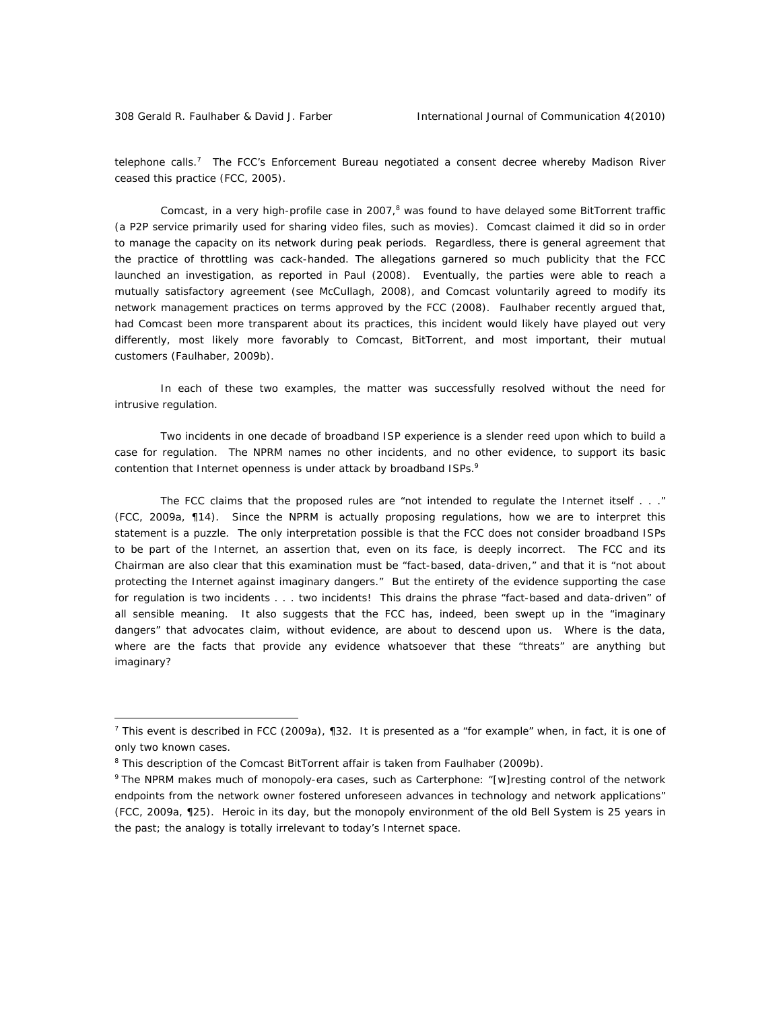telephone calls.<sup>7</sup> The FCC's Enforcement Bureau negotiated a consent decree whereby Madison River ceased this practice (FCC, 2005).

Comcast, in a very high-profile case in 2007,<sup>8</sup> was found to have delayed some BitTorrent traffic (a P2P service primarily used for sharing video files, such as movies). Comcast claimed it did so in order to manage the capacity on its network during peak periods. Regardless, there is general agreement that the practice of throttling was cack-handed. The allegations garnered so much publicity that the FCC launched an investigation, as reported in Paul (2008). Eventually, the parties were able to reach a mutually satisfactory agreement (see McCullagh, 2008), and Comcast voluntarily agreed to modify its network management practices on terms approved by the FCC (2008). Faulhaber recently argued that, had Comcast been more transparent about its practices, this incident would likely have played out very differently, most likely more favorably to Comcast, BitTorrent, and most important, their mutual customers (Faulhaber, 2009b).

In each of these two examples, the matter was successfully resolved without the need for intrusive regulation.

Two incidents in one decade of broadband ISP experience is a slender reed upon which to build a case for regulation. The NPRM names no other incidents, and no other evidence, to support its basic contention that Internet openness is under attack by broadband ISPs.<sup>9</sup>

The FCC claims that the proposed rules are "not intended to regulate the Internet itself . . ." (FCC, 2009a, ¶14). Since the NPRM is actually proposing regulations, how we are to interpret this statement is a puzzle. The only interpretation possible is that the FCC does not consider broadband ISPs to be part of the Internet, an assertion that, even on its face, is deeply incorrect. The FCC and its Chairman are also clear that this examination must be "fact-based, data-driven," and that it is "not about protecting the Internet against imaginary dangers." But the entirety of the evidence supporting the case for regulation is two incidents . . . *two incidents!* This drains the phrase "fact-based and data-driven" of all sensible meaning. It also suggests that the FCC has, indeed, been swept up in the "imaginary dangers" that advocates claim, without evidence, are about to descend upon us. Where is the data, where are the facts that provide any evidence whatsoever that these "threats" are anything but imaginary?

<sup>&</sup>lt;sup>7</sup> This event is described in FCC (2009a),  $\P$ 32. It is presented as a "for example" when, in fact, it is one of only two known cases.

<sup>&</sup>lt;sup>8</sup> This description of the Comcast BitTorrent affair is taken from Faulhaber (2009b).

<sup>&</sup>lt;sup>9</sup> The NPRM makes much of monopoly-era cases, such as Carterphone: "[w]resting control of the network endpoints from the network owner fostered unforeseen advances in technology and network applications" (FCC, 2009a, ¶25). Heroic in its day, but the monopoly environment of the old Bell System is 25 years in the past; the analogy is totally irrelevant to today's Internet space.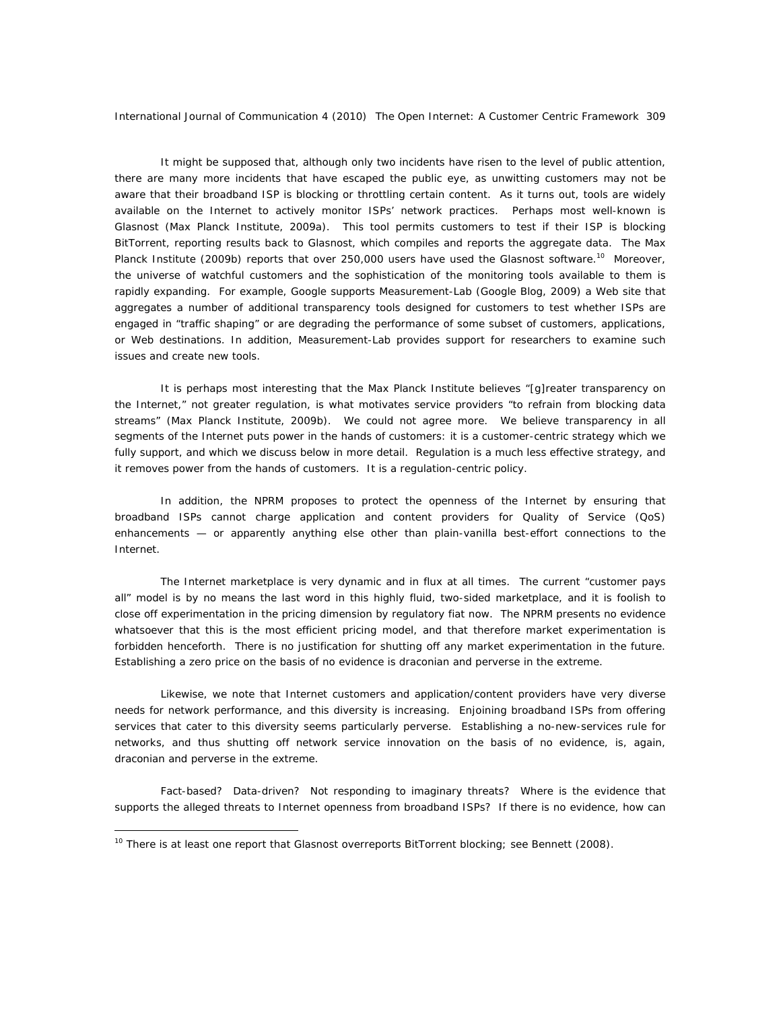It might be supposed that, although only two incidents have risen to the level of public attention, there are many more incidents that have escaped the public eye, as unwitting customers may not be aware that their broadband ISP is blocking or throttling certain content. As it turns out, tools are widely available on the Internet to actively monitor ISPs' network practices. Perhaps most well-known is Glasnost (Max Planck Institute, 2009a). This tool permits customers to test if their ISP is blocking BitTorrent, reporting results back to Glasnost, which compiles and reports the aggregate data. The Max Planck Institute (2009b) reports that over 250,000 users have used the Glasnost software.<sup>10</sup> Moreover, the universe of watchful customers and the sophistication of the monitoring tools available to them is rapidly expanding. For example, Google supports Measurement-Lab (Google Blog, 2009) a Web site that aggregates a number of additional transparency tools designed for customers to test whether ISPs are engaged in "traffic shaping" or are degrading the performance of some subset of customers, applications, or Web destinations. In addition, Measurement-Lab provides support for researchers to examine such issues and create new tools.

It is perhaps most interesting that the Max Planck Institute believes "[g]reater transparency on the Internet," not greater regulation, is what motivates service providers "to refrain from blocking data streams" (Max Planck Institute, 2009b). We could not agree more. We believe transparency in all segments of the Internet puts power in the hands of customers: it is a *customer-centric* strategy which we fully support, and which we discuss below in more detail. Regulation is a much less effective strategy, and it *removes* power from the hands of customers. It is a *regulation-centric* policy.

In addition, the NPRM proposes to protect the openness of the Internet by ensuring that broadband ISPs cannot charge application and content providers for Quality of Service (QoS) enhancements — or apparently anything else other than plain-vanilla best-effort connections to the Internet.

The Internet marketplace is very dynamic and in flux at all times. The current "customer pays all" model is by no means the last word in this highly fluid, two-sided marketplace, and it is foolish to close off experimentation in the pricing dimension by regulatory fiat now. The NPRM presents no evidence whatsoever that this is the most efficient pricing model, and that therefore market experimentation is forbidden henceforth. There is no justification for shutting off any market experimentation in the future. Establishing a zero price on the basis of no evidence is draconian and perverse in the extreme.

Likewise, we note that Internet customers and application/content providers have very diverse needs for network performance, and this diversity is increasing. Enjoining broadband ISPs from offering services that cater to this diversity seems particularly perverse. Establishing a no-new-services rule for networks, and thus shutting off network service innovation on the basis of no evidence, is, again, draconian and perverse in the extreme.

Fact-based? Data-driven? Not responding to imaginary threats? Where is the evidence that supports the alleged threats to Internet openness from broadband ISPs? If there is no evidence, how can

<sup>&</sup>lt;sup>10</sup> There is at least one report that Glasnost overreports BitTorrent blocking; see Bennett (2008).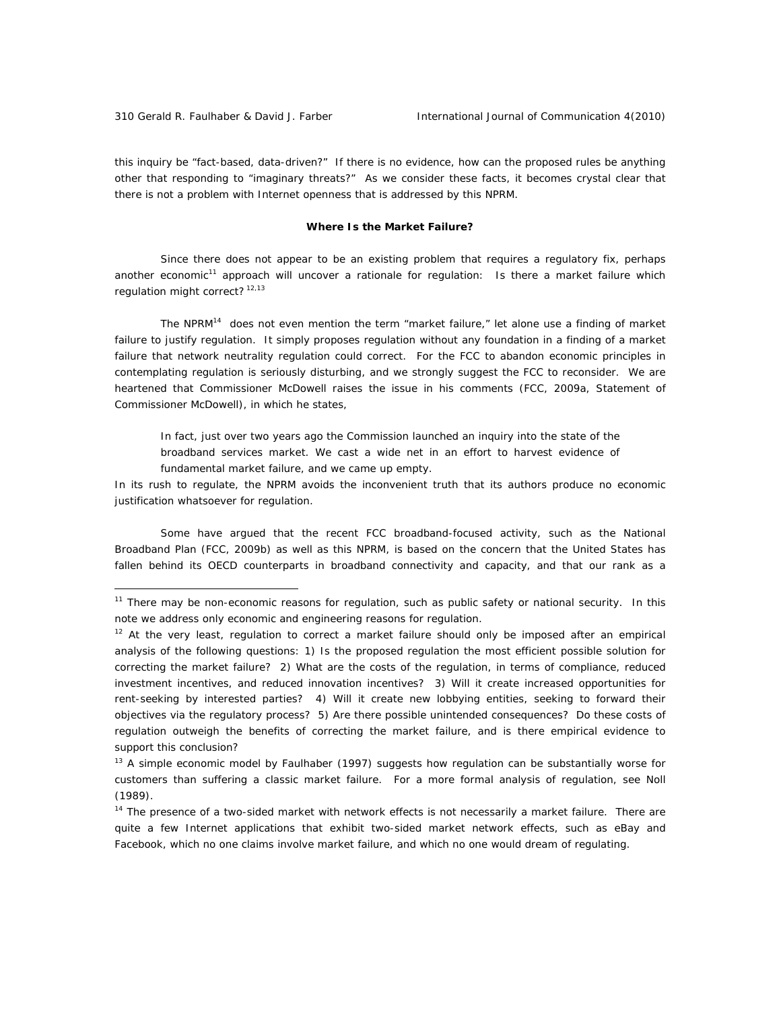this inquiry be "fact-based, data-driven?" If there is no evidence, how can the proposed rules be anything other that responding to "imaginary threats?" As we consider these facts, it becomes crystal clear that *there is not a problem with Internet openness that is addressed by this NPRM.* 

# *Where Is the Market Failure?*

Since there does not appear to be an existing problem that requires a regulatory fix, perhaps another economic<sup>11</sup> approach will uncover a rationale for regulation: Is there a *market failure* which regulation might correct?<sup>12,13</sup>

The NPRM14 does not even mention the term "market failure," let alone use a finding of market failure to justify regulation. It simply proposes regulation without any foundation in a finding of a market failure that network neutrality regulation could correct. For the FCC to abandon economic principles in contemplating regulation is seriously disturbing, and we strongly suggest the FCC to reconsider. We are heartened that Commissioner McDowell raises the issue in his comments (FCC, 2009a, Statement of Commissioner McDowell), in which he states,

In fact, just over two years ago the Commission launched an inquiry into the state of the broadband services market. We cast a wide net in an effort to harvest evidence of fundamental market failure, and we came up empty.

In its rush to regulate, the NPRM avoids the inconvenient truth that its authors produce no economic justification whatsoever for regulation.

Some have argued that the recent FCC broadband-focused activity, such as the National Broadband Plan (FCC, 2009b) as well as this NPRM, is based on the concern that the United States has fallen behind its OECD counterparts in broadband connectivity and capacity, and that our rank as a

 $11$  There may be non-economic reasons for regulation, such as public safety or national security. In this note we address only economic and engineering reasons for regulation.

 $12$  At the very least, regulation to correct a market failure should only be imposed after an empirical analysis of the following questions: 1) Is the proposed regulation the most efficient possible solution for correcting the market failure? 2) What are the costs of the regulation, in terms of compliance, reduced investment incentives, and reduced innovation incentives? 3) Will it create increased opportunities for rent-seeking by interested parties? 4) Will it create new lobbying entities, seeking to forward their objectives via the regulatory process? 5) Are there possible unintended consequences? Do these costs of regulation outweigh the benefits of correcting the market failure, and is there *empirical evidence* to support this conclusion?

 $13$  A simple economic model by Faulhaber (1997) suggests how regulation can be substantially worse for customers than suffering a classic market failure. For a more formal analysis of regulation, see Noll (1989).

<sup>&</sup>lt;sup>14</sup> The presence of a two-sided market with network effects is not necessarily a market failure. There are quite a few Internet *applications* that exhibit two-sided market network effects, such as eBay and Facebook, which no one claims involve market failure, and which no one would dream of regulating.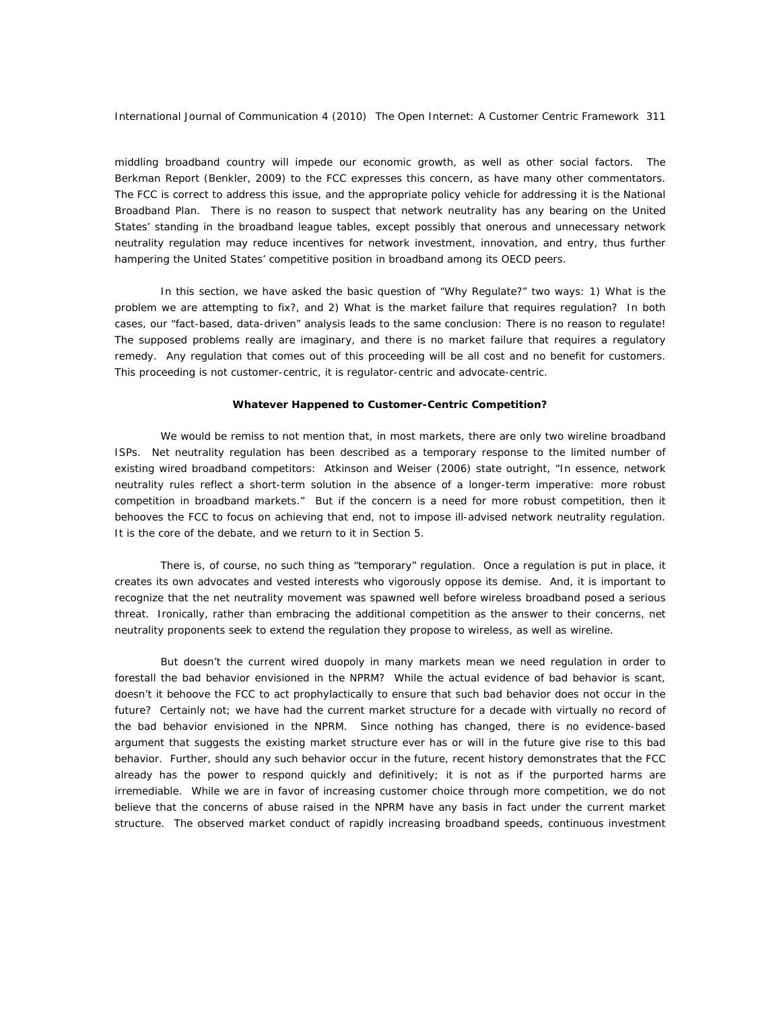middling broadband country will impede our economic growth, as well as other social factors. The Berkman Report (Benkler, 2009) to the FCC expresses this concern, as have many other commentators. The FCC is correct to address this issue, and the appropriate policy vehicle for addressing it is the National Broadband Plan. There is no reason to suspect that network neutrality has any bearing on the United States' standing in the broadband league tables, except possibly that onerous and unnecessary network neutrality regulation may reduce incentives for network investment, innovation, and entry, thus further hampering the United States' competitive position in broadband among its OECD peers.

In this section, we have asked the basic question of "Why Regulate?" two ways: 1) What is the problem we are attempting to fix?, and 2) What is the market failure that requires regulation? In both cases, our "fact-based, data-driven" analysis leads to the same conclusion: *There is no reason to regulate!*  The supposed problems really are imaginary, and there is no market failure that requires a regulatory remedy. Any regulation that comes out of this proceeding will be all cost and no benefit for customers. This proceeding is not *customer-centric*, it is *regulator-centric* and *advocate-centric*.

#### *Whatever Happened to Customer-Centric Competition?*

We would be remiss to not mention that, in most markets, there are only two wireline broadband ISPs. Net neutrality regulation has been described as a temporary response to the limited number of existing wired broadband competitors: Atkinson and Weiser (2006) state outright, "In essence, network neutrality rules reflect a short-term solution in the absence of a longer-term imperative: more robust competition in broadband markets." But if the concern is a need for more robust competition, then it behooves the FCC to focus on achieving that end, not to impose ill-advised network neutrality regulation. It is the core of the debate, and we return to it in Section 5.

There is, of course, no such thing as "temporary" regulation. Once a regulation is put in place, it creates its own advocates and vested interests who vigorously oppose its demise. And, it is important to recognize that the net neutrality movement was spawned well before wireless broadband posed a serious threat. Ironically, rather than embracing the additional competition as the answer to their concerns, net neutrality proponents seek to *extend* the regulation they propose to wireless, as well as wireline.

But doesn't the current wired duopoly in many markets mean we need regulation in order to forestall the bad behavior envisioned in the NPRM? While the actual evidence of bad behavior is scant, doesn't it behoove the FCC to act prophylactically to ensure that such bad behavior does not occur in the future? Certainly not; we have had the current market structure for a decade with virtually no record of the bad behavior envisioned in the NPRM. Since nothing has changed, there is no evidence-based argument that suggests the existing market structure ever has or will in the future give rise to this bad behavior. Further, should any such behavior occur in the future, recent history demonstrates that the FCC already has the power to respond quickly and definitively; it is not as if the purported harms are irremediable. While we are in favor of increasing customer choice through more competition, we do not believe that the concerns of abuse raised in the NPRM have any basis in fact under the current market structure. The observed market conduct of rapidly increasing broadband speeds, continuous investment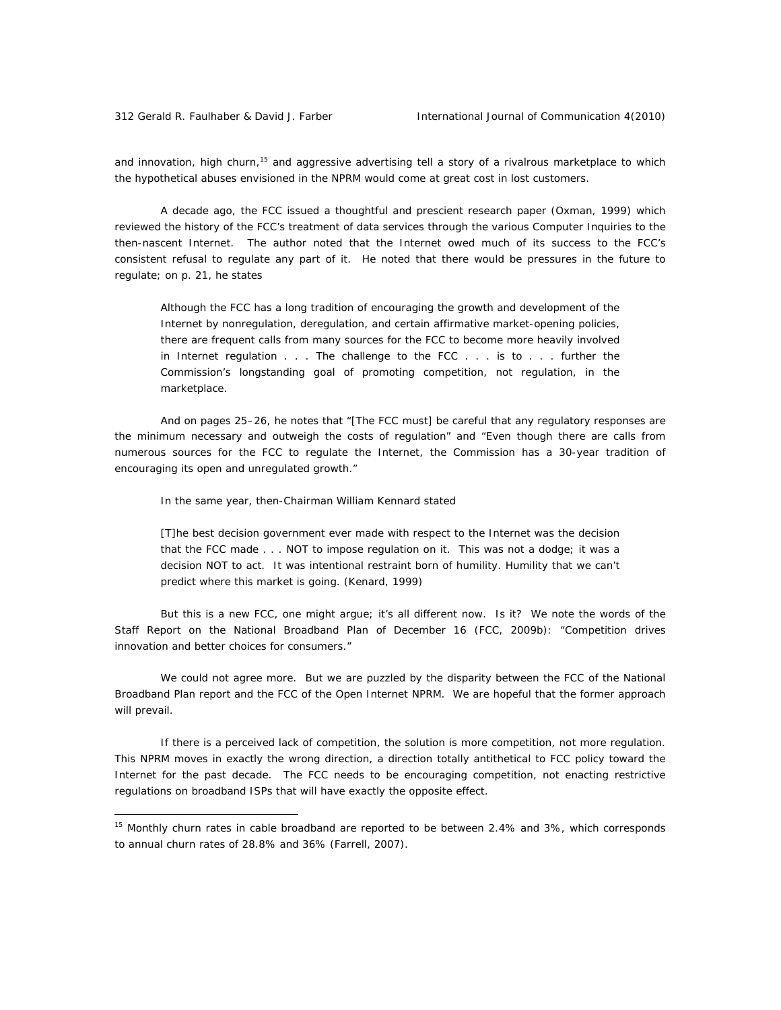and innovation, high churn,<sup>15</sup> and aggressive advertising tell a story of a rivalrous marketplace to which the hypothetical abuses envisioned in the NPRM would come at great cost in lost customers.

A decade ago, the FCC issued a thoughtful and prescient research paper (Oxman, 1999) which reviewed the history of the FCC's treatment of data services through the various Computer Inquiries to the then-nascent Internet. The author noted that the Internet owed much of its success to the FCC's consistent refusal to regulate any part of it. He noted that there would be pressures in the future to regulate; on p. 21, he states

Although the FCC has a long tradition of encouraging the growth and development of the Internet by nonregulation, deregulation, and certain affirmative market-opening policies, there are frequent calls from many sources for the FCC to become more heavily involved in Internet regulation . . . The challenge to the FCC . . . is to . . . further the Commission's longstanding goal of promoting competition, not regulation, in the marketplace.

And on pages 25–26, he notes that "[The FCC must] be careful that any regulatory responses are the minimum necessary and outweigh the costs of regulation" and "Even though there are calls from numerous sources for the FCC to regulate the Internet, the Commission has a 30-year tradition of encouraging its open and unregulated growth."

In the same year, then-Chairman William Kennard stated

[T]he best decision government ever made with respect to the Internet was the decision that the FCC made . . . NOT to impose regulation on it. This was not a dodge; it was a decision NOT to act. It was intentional restraint born of humility. Humility that we can't predict where this market is going. (Kenard, 1999)

But this is a new FCC, one might argue; it's all different now. Is it? We note the words of the Staff Report on the National Broadband Plan of December 16 (FCC, 2009b): "Competition drives innovation and better choices for consumers."

We could not agree more. But we are puzzled by the disparity between the FCC of the National Broadband Plan report and the FCC of the Open Internet NPRM. We are hopeful that the former approach will prevail.

*If there is a perceived lack of competition, the solution is more competition, not more regulation*. This NPRM moves in exactly the wrong direction, a direction totally antithetical to FCC policy toward the Internet for the past decade. The FCC needs to be encouraging competition, not enacting restrictive regulations on broadband ISPs that will have exactly the opposite effect.

<sup>&</sup>lt;sup>15</sup> Monthly churn rates in cable broadband are reported to be between 2.4% and 3%, which corresponds to annual churn rates of 28.8% and 36% (Farrell, 2007).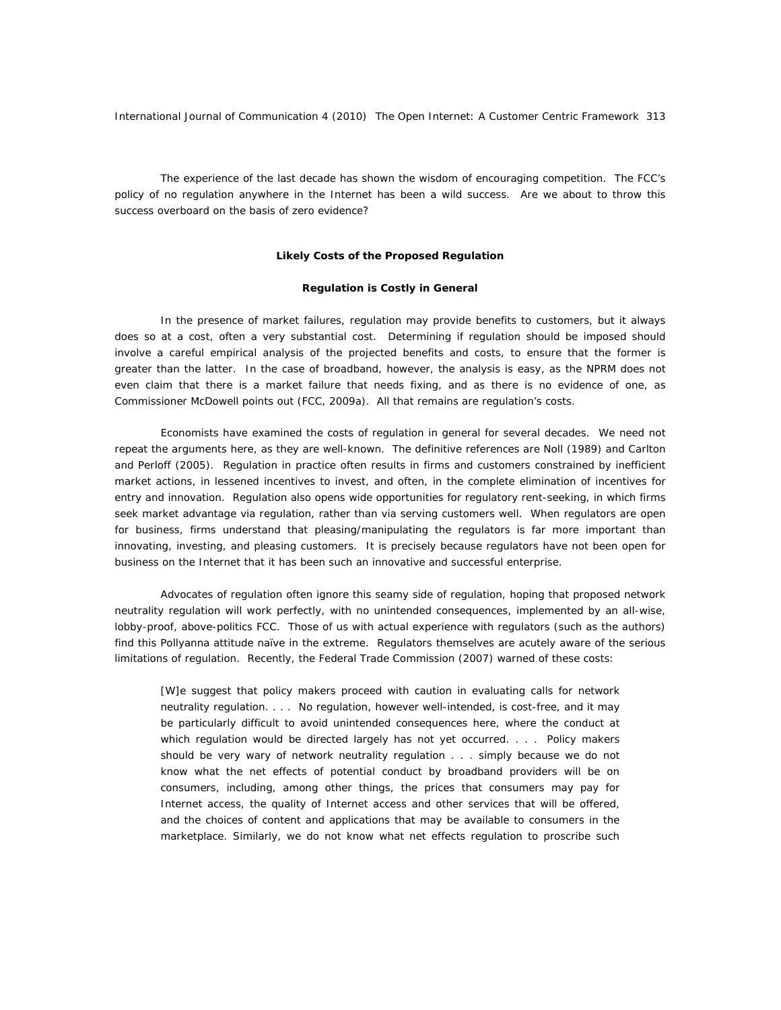The experience of the last decade has shown the wisdom of encouraging competition. The FCC's policy of no regulation anywhere in the Internet has been a wild success. Are we about to throw this success overboard on the basis of zero evidence?

#### **Likely Costs of the Proposed Regulation**

#### *Regulation is Costly in General*

In the presence of market failures, regulation *may* provide benefits to customers, but it always does so at a cost, often a very substantial cost. Determining if regulation should be imposed should involve a careful empirical analysis of the projected benefits and costs, to ensure that the former is greater than the latter. In the case of broadband, however, the analysis is easy, as the NPRM does not even claim that there is a market failure that needs fixing, and as there is no evidence of one, as Commissioner McDowell points out (FCC, 2009a). All that remains are regulation's costs.

Economists have examined the costs of regulation in general for several decades. We need not repeat the arguments here, as they are well-known. The definitive references are Noll (1989) and Carlton and Perloff (2005). Regulation in practice often results in firms and customers constrained by inefficient market actions, in lessened incentives to invest, and often, in the complete elimination of incentives for entry and innovation. Regulation also opens wide opportunities for regulatory rent-seeking, in which firms seek market advantage via regulation, rather than via serving customers well. When regulators are open for business, firms understand that pleasing/manipulating the regulators is far more important than innovating, investing, and pleasing customers. It is precisely because regulators have *not* been open for business on the Internet that it has been such an innovative and successful enterprise.

Advocates of regulation often ignore this seamy side of regulation, hoping that proposed network neutrality regulation will work perfectly, with no unintended consequences, implemented by an all-wise, lobby-proof, above-politics FCC. Those of us with actual experience with regulators (such as the authors) find this Pollyanna attitude naïve in the extreme. Regulators themselves are acutely aware of the serious limitations of regulation. Recently, the Federal Trade Commission (2007) warned of these costs:

[W]e suggest that policy makers proceed with caution in evaluating calls for network neutrality regulation. . . . No regulation, however well-intended, is cost-free, and it may be particularly difficult to avoid unintended consequences here, where the conduct at which regulation would be directed largely has not yet occurred. . . . Policy makers should be very wary of network neutrality regulation . . . simply because we do not know what the net effects of potential conduct by broadband providers will be on consumers, including, among other things, the prices that consumers may pay for Internet access, the quality of Internet access and other services that will be offered, and the choices of content and applications that may be available to consumers in the marketplace. Similarly, we do not know what net effects regulation to proscribe such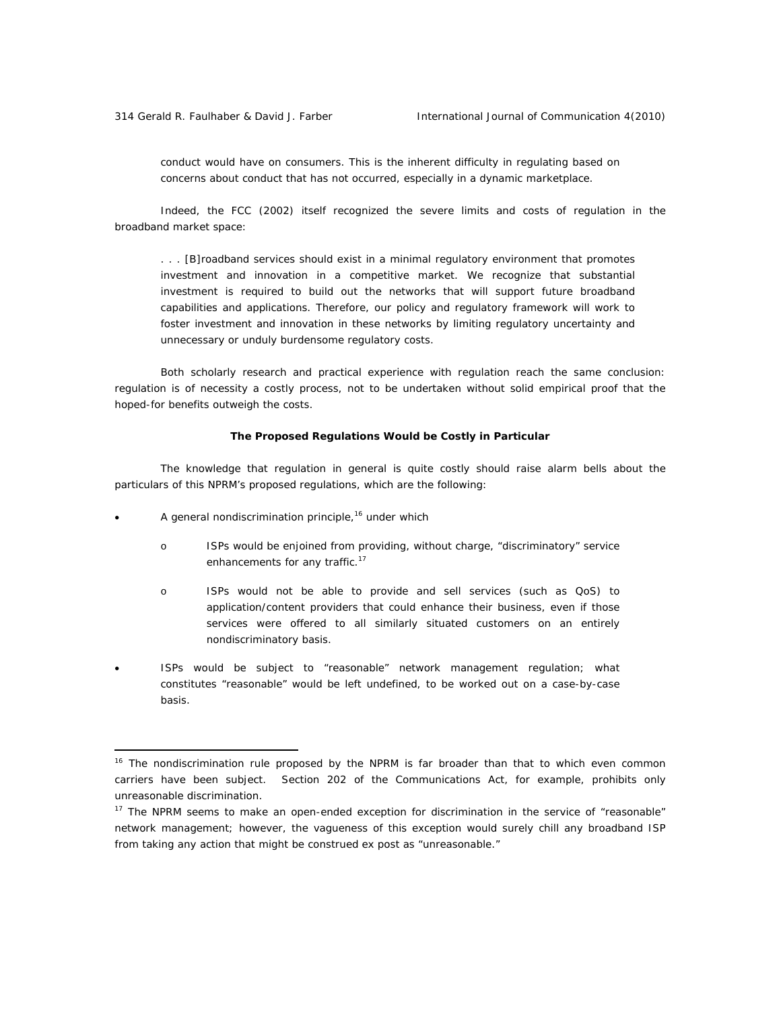conduct would have on consumers. This is the inherent difficulty in regulating based on concerns about conduct that has not occurred, especially in a dynamic marketplace.

Indeed, the FCC (2002) itself recognized the severe limits and costs of regulation in the broadband market space:

. . . [B]roadband services should exist in a minimal regulatory environment that promotes investment and innovation in a competitive market. We recognize that substantial investment is required to build out the networks that will support future broadband capabilities and applications. Therefore, our policy and regulatory framework will work to foster investment and innovation in these networks by limiting regulatory uncertainty and unnecessary or unduly burdensome regulatory costs.

Both scholarly research and practical experience with regulation reach the same conclusion: regulation is of necessity a costly process, not to be undertaken without solid empirical proof that the hoped-for benefits outweigh the costs.

# *The Proposed Regulations Would be Costly in Particular*

The knowledge that regulation in general is quite costly should raise alarm bells about the particulars of this NPRM's proposed regulations, which are the following:

A general nondiscrimination principle,<sup>16</sup> under which

- o ISPs would be enjoined from providing, without charge, "discriminatory" service enhancements for any traffic.<sup>17</sup>
- o ISPs would not be able to provide and sell services (such as QoS) to application/content providers that could enhance their business, even if those services were offered to all similarly situated customers on an entirely nondiscriminatory basis.
- ISPs would be subject to "reasonable" network management regulation; what constitutes "reasonable" would be left undefined, to be worked out on a case-by-case basis.

<sup>&</sup>lt;sup>16</sup> The nondiscrimination rule proposed by the NPRM is far broader than that to which even common carriers have been subject. Section 202 of the Communications Act, for example, prohibits only *unreasonable* discrimination.

 $17$  The NPRM seems to make an open-ended exception for discrimination in the service of "reasonable" network management; however, the vagueness of this exception would surely chill any broadband ISP from taking any action that might be construed *ex post* as "unreasonable."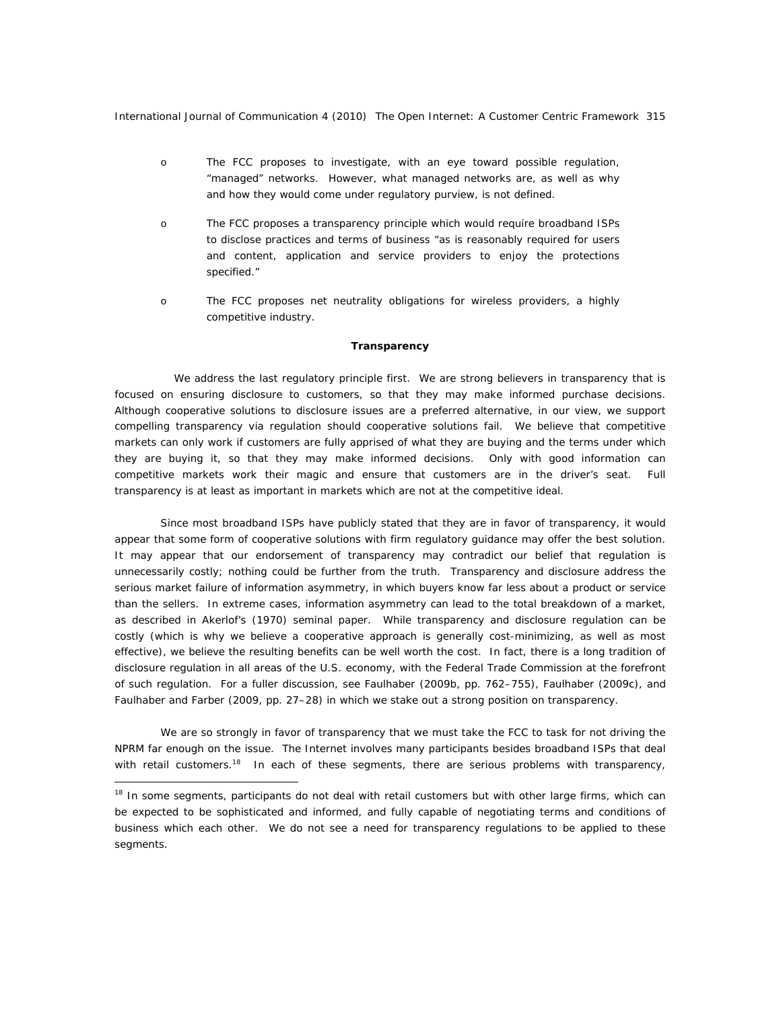- o The FCC proposes to investigate, with an eye toward possible regulation, "managed" networks. However, what managed networks are, as well as why and how they would come under regulatory purview, is not defined.
- o The FCC proposes a transparency principle which would require broadband ISPs to disclose practices and terms of business "as is reasonably required for users and content, application and service providers to enjoy the protections specified."
- o The FCC proposes net neutrality obligations for wireless providers, a highly competitive industry.

#### *Transparency*

We address the last regulatory principle first. We are strong believers in transparency that is focused on ensuring disclosure to customers, so that they may make informed purchase decisions. Although cooperative solutions to disclosure issues are a preferred alternative, in our view, we support compelling transparency via regulation should cooperative solutions fail. We believe that competitive markets can only work if customers are fully apprised of what they are buying and the terms under which they are buying it, so that they may make informed decisions. Only with good information can competitive markets work their magic and ensure that customers are in the driver's seat. Full transparency is at least as important in markets which are not at the competitive ideal.

Since most broadband ISPs have publicly stated that they are in favor of transparency, it would appear that some form of cooperative solutions with firm regulatory guidance may offer the best solution. It may appear that our endorsement of transparency may contradict our belief that regulation is unnecessarily costly; nothing could be further from the truth. Transparency and disclosure address the serious market failure of *information asymmetry,* in which buyers know far less about a product or service than the sellers. In extreme cases, information asymmetry can lead to the total breakdown of a market, as described in Akerlof's (1970) seminal paper. While transparency and disclosure regulation can be costly (which is why we believe a cooperative approach is generally cost-minimizing, as well as most effective), we believe the resulting benefits can be well worth the cost. In fact, there is a long tradition of disclosure regulation in all areas of the U.S. economy, with the Federal Trade Commission at the forefront of such regulation. For a fuller discussion, see Faulhaber (2009b, pp. 762–755), Faulhaber (2009c), and Faulhaber and Farber (2009, pp. 27–28) in which we stake out a strong position on transparency.

We are so strongly in favor of transparency that we must take the FCC to task for not driving the NPRM far enough on the issue. The Internet involves many participants besides broadband ISPs that deal with retail customers.<sup>18</sup> In each of these segments, there are serious problems with transparency,

<sup>&</sup>lt;sup>18</sup> In some segments, participants do not deal with retail customers but with other large firms, which can be expected to be sophisticated and informed, and fully capable of negotiating terms and conditions of business which each other. We do not see a need for transparency regulations to be applied to these segments.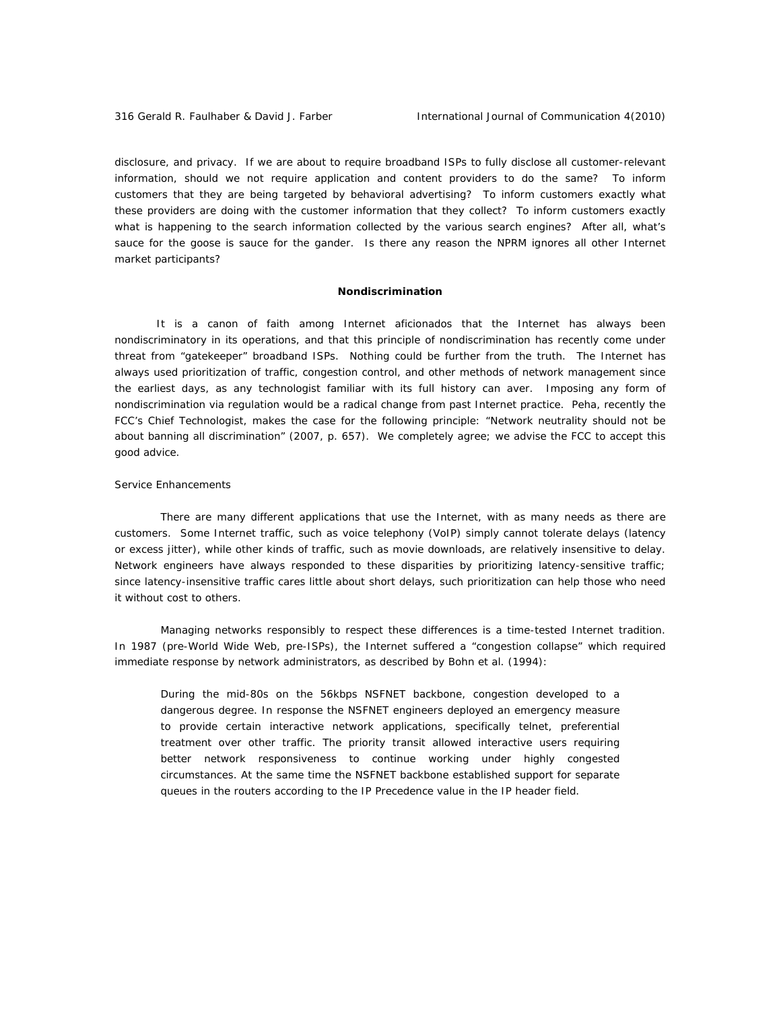disclosure, and privacy. If we are about to require broadband ISPs to fully disclose all customer-relevant information, should we not require application and content providers to do the same? To inform customers that they are being targeted by behavioral advertising? To inform customers exactly what these providers are doing with the customer information that they collect? To inform customers exactly what is happening to the search information collected by the various search engines? After all, what's sauce for the goose is sauce for the gander. Is there any reason the NPRM ignores all other Internet market participants?

#### *Nondiscrimination*

It is a canon of faith among Internet aficionados that the Internet has always been nondiscriminatory in its operations, and that this principle of nondiscrimination has recently come under threat from "gatekeeper" broadband ISPs. Nothing could be further from the truth. The Internet has always used prioritization of traffic, congestion control, and other methods of network management since the earliest days, as any technologist familiar with its full history can aver. Imposing any form of nondiscrimination via regulation would be a radical change from past Internet practice. Peha, recently the FCC's Chief Technologist, makes the case for the following principle: "Network neutrality should not be about banning all discrimination" (2007, p. 657). We completely agree; we advise the FCC to accept this good advice.

# *Service Enhancements*

There are many different applications that use the Internet, with as many needs as there are customers. Some Internet traffic, such as voice telephony (VoIP) simply cannot tolerate delays (latency or excess jitter), while other kinds of traffic, such as movie downloads, are relatively insensitive to delay. Network engineers have always responded to these disparities by prioritizing latency-sensitive traffic; since latency-insensitive traffic cares little about short delays, such prioritization can help those who need it without cost to others.

Managing networks responsibly to respect these differences is a time-tested Internet tradition. In 1987 (pre-World Wide Web, pre-ISPs), the Internet suffered a "congestion collapse" which required immediate response by network administrators, as described by Bohn et al. (1994):

During the mid-80s on the 56kbps NSFNET backbone, congestion developed to a dangerous degree. In response the NSFNET engineers deployed an emergency measure to provide certain interactive network applications, specifically telnet, preferential treatment over other traffic. The priority transit allowed interactive users requiring better network responsiveness to continue working under highly congested circumstances. At the same time the NSFNET backbone established support for separate queues in the routers according to the IP Precedence value in the IP header field.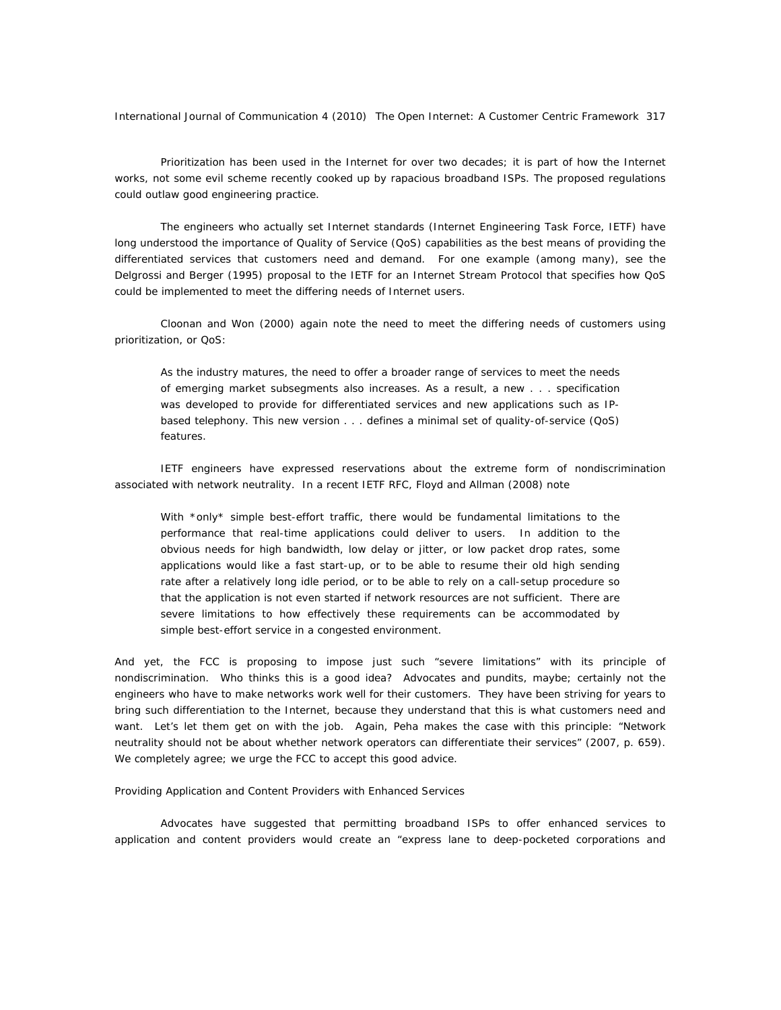Prioritization has been used in the Internet for over two decades; it is part of how the Internet works, not some evil scheme recently cooked up by rapacious broadband ISPs. The proposed regulations could outlaw good engineering practice.

The engineers who actually set Internet standards (Internet Engineering Task Force, IETF) have long understood the importance of Quality of Service (QoS) capabilities as the best means of providing the differentiated services that customers need and demand. For one example (among many), see the Delgrossi and Berger (1995) proposal to the IETF for an Internet Stream Protocol that specifies how QoS could be implemented to meet the differing needs of Internet users.

Cloonan and Won (2000) again note the need to meet the differing needs of customers using prioritization, or QoS:

As the industry matures, the need to offer a broader range of services to meet the needs of emerging market subsegments also increases. As a result, a new . . . specification was developed to provide for differentiated services and new applications such as IPbased telephony. This new version . . . defines a minimal set of quality-of-service (QoS) features.

IETF engineers have expressed reservations about the extreme form of nondiscrimination associated with network neutrality. In a recent IETF RFC, Floyd and Allman (2008) note

With \*only\* simple best-effort traffic, there would be fundamental limitations to the performance that real-time applications could deliver to users. In addition to the obvious needs for high bandwidth, low delay or jitter, or low packet drop rates, some applications would like a fast start-up, or to be able to resume their old high sending rate after a relatively long idle period, or to be able to rely on a call-setup procedure so that the application is not even started if network resources are not sufficient. There are severe limitations to how effectively these requirements can be accommodated by simple best-effort service in a congested environment.

And yet, the FCC is proposing to impose just such "severe limitations" with its principle of nondiscrimination. Who thinks this is a good idea? Advocates and pundits, maybe; certainly not the engineers who have to make networks work well for their customers. They have been striving for years to bring such differentiation to the Internet, because they understand that this is what customers need and want. Let's let them get on with the job. Again, Peha makes the case with this principle: "Network neutrality should not be about whether network operators can differentiate their services" (2007, p. 659). We completely agree; we urge the FCC to accept this good advice.

# *Providing Application and Content Providers with Enhanced Services*

Advocates have suggested that permitting broadband ISPs to offer enhanced services to application and content providers would create an "express lane to deep-pocketed corporations and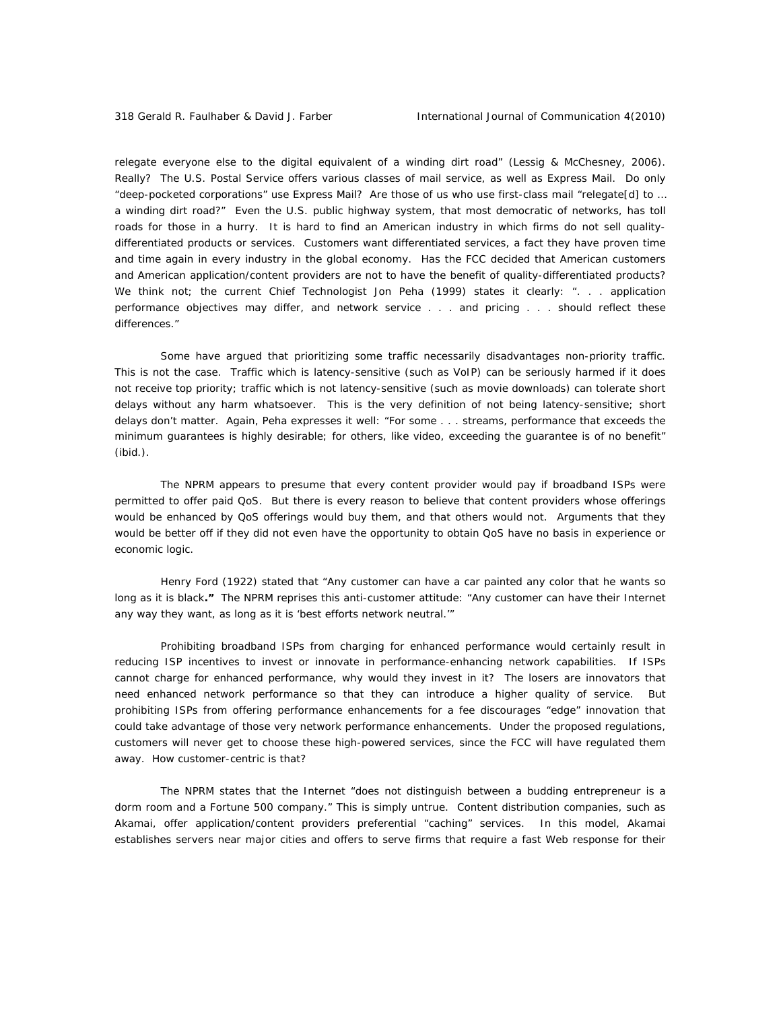relegate everyone else to the digital equivalent of a winding dirt road" (Lessig & McChesney, 2006). Really? The U.S. Postal Service offers various classes of mail service, as well as Express Mail. Do only "deep-pocketed corporations" use Express Mail? Are those of us who use first-class mail "relegate[d] to … a winding dirt road?" Even the U.S. public highway system, that most democratic of networks, has toll roads for those in a hurry. It is hard to find an American industry in which firms do not sell qualitydifferentiated products or services. Customers want differentiated services, a fact they have proven time and time again in every industry in the global economy. Has the FCC decided that American customers and American application/content providers are not to have the benefit of quality-differentiated products? We think not; the current Chief Technologist Jon Peha (1999) states it clearly: ". . . application performance objectives may differ, and network service . . . and pricing . . . should reflect these differences."

Some have argued that prioritizing some traffic necessarily disadvantages non-priority traffic. This is not the case. Traffic which is latency-sensitive (such as VoIP) can be seriously harmed if it does not receive top priority; traffic which is not latency-sensitive (such as movie downloads) can tolerate short delays without any harm whatsoever. This is the very definition of not being latency-sensitive; short delays don't matter. Again, Peha expresses it well: "For some . . . streams, performance that exceeds the minimum guarantees is highly desirable; for others, like video, exceeding the guarantee is of no benefit" (ibid.).

The NPRM appears to presume that every content provider would pay if broadband ISPs were permitted to offer paid QoS. But there is every reason to believe that content providers whose offerings would be enhanced by QoS offerings would buy them, and that others would not. Arguments that they would be better off if they did not even have the opportunity to obtain QoS have no basis in experience or economic logic.

Henry Ford (1922) stated that "Any customer can have a car painted any color that he wants so long as it is black**."** The NPRM reprises this anti-customer attitude: "Any customer can have their Internet any way they want, as long as it is 'best efforts network neutral.'"

Prohibiting broadband ISPs from charging for enhanced performance would certainly result in reducing ISP incentives to invest or innovate in performance-enhancing network capabilities. If ISPs cannot charge for enhanced performance, why would they invest in it? The losers are innovators that need enhanced network performance so that they can introduce a higher quality of service. But prohibiting ISPs from offering performance enhancements for a fee discourages "edge" innovation that could take advantage of those very network performance enhancements. Under the proposed regulations, customers will never get to choose these high-powered services, since the FCC will have regulated them away. How customer-centric is that?

The NPRM states that the Internet "does not distinguish between a budding entrepreneur is a dorm room and a Fortune 500 company." This is simply untrue. Content distribution companies, such as Akamai, offer application/content providers preferential "caching" services. In this model, Akamai establishes servers near major cities and offers to serve firms that require a fast Web response for their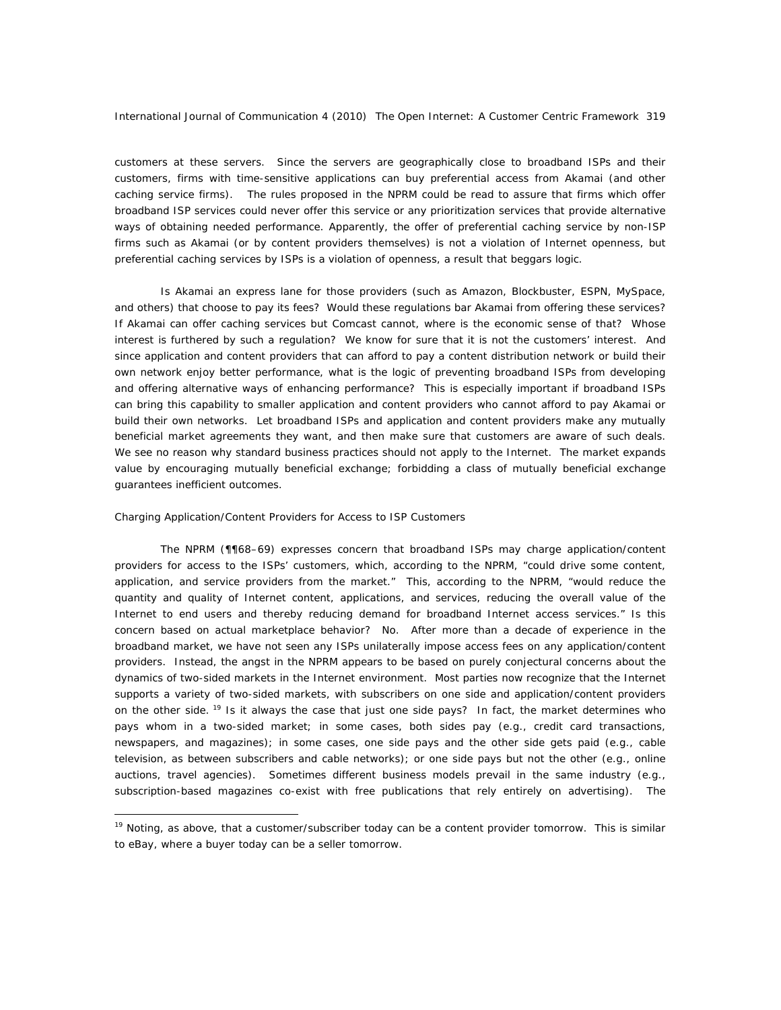customers at these servers. Since the servers are geographically close to broadband ISPs and their customers, firms with time-sensitive applications can buy preferential access from Akamai (and other caching service firms). The rules proposed in the NPRM could be read to assure that firms which offer broadband ISP services could never offer this service or any prioritization services that provide alternative ways of obtaining needed performance. Apparently, the offer of preferential caching service by non-ISP firms such as Akamai (or by content providers themselves) is not a violation of Internet openness, but preferential caching services by ISPs is a violation of openness, a result that beggars logic.

Is Akamai an express lane for those providers (such as Amazon, Blockbuster, ESPN, MySpace, and others) that choose to pay its fees? Would these regulations bar Akamai from offering these services? If Akamai can offer caching services but Comcast cannot, where is the economic sense of that? Whose interest is furthered by such a regulation? We know for sure that it is not the customers' interest. And since application and content providers that can afford to pay a content distribution network or build their own network enjoy better performance, what is the logic of preventing broadband ISPs from developing and offering alternative ways of enhancing performance? This is especially important if broadband ISPs can bring this capability to smaller application and content providers who cannot afford to pay Akamai or build their own networks. Let broadband ISPs and application and content providers make any mutually beneficial market agreements they want, and then make sure that customers are aware of such deals. We see no reason why standard business practices should not apply to the Internet. The market expands value by encouraging mutually beneficial exchange; forbidding a class of mutually beneficial exchange guarantees inefficient outcomes.

#### *Charging Application/Content Providers for Access to ISP Customers*

 $\overline{a}$ 

The NPRM (¶¶68–69) expresses concern that broadband ISPs may charge application/content providers for access to the ISPs' customers, which, according to the NPRM, "could drive some content, application, and service providers from the market." This, according to the NPRM, "would reduce the quantity and quality of Internet content, applications, and services, reducing the overall value of the Internet to end users and thereby reducing demand for broadband Internet access services." Is this concern based on actual marketplace behavior? No. After more than a decade of experience in the broadband market, we have not seen any ISPs unilaterally impose access fees on any application/content providers. Instead, the angst in the NPRM appears to be based on purely conjectural concerns about the dynamics of two-sided markets in the Internet environment. Most parties now recognize that the Internet supports a variety of two-sided markets, with subscribers on one side and application/content providers on the other side. <sup>19</sup> Is it always the case that just one side pays? In fact, the market determines who pays whom in a two-sided market; in some cases, both sides pay (e.g., credit card transactions, newspapers, and magazines); in some cases, one side pays and the other side *gets* paid (e.g., cable television, as between subscribers and cable networks); or one side pays but not the other (e.g., online auctions, travel agencies). Sometimes different business models prevail in the same industry (e.g., subscription-based magazines co-exist with free publications that rely entirely on advertising). The

<sup>&</sup>lt;sup>19</sup> Noting, as above, that a customer/subscriber today can be a content provider tomorrow. This is similar to eBay, where a buyer today can be a seller tomorrow.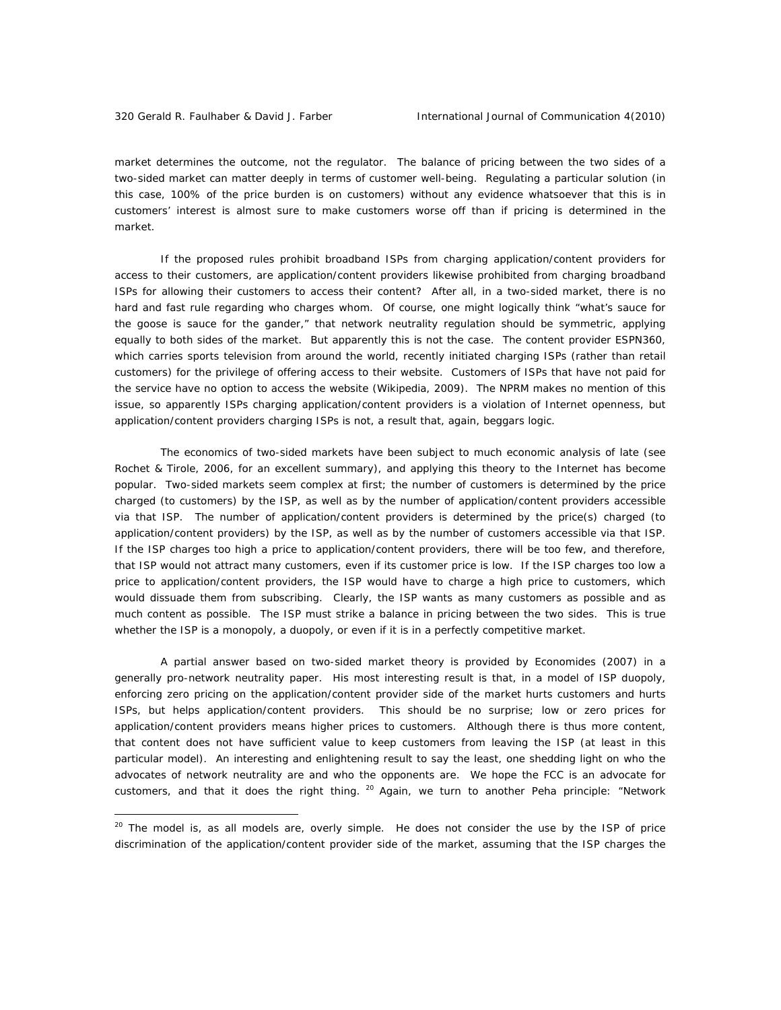market determines the outcome, not the regulator. The balance of pricing between the two sides of a two-sided market can matter deeply in terms of customer well-being. Regulating a particular solution (in this case, 100% of the price burden is on customers) without any evidence whatsoever that this is in customers' interest is almost sure to make customers worse off than if pricing is determined in the market.

If the proposed rules prohibit broadband ISPs from charging application/content providers for access to their customers, are application/content providers likewise prohibited from charging broadband ISPs for allowing their customers to access their content? After all, in a two-sided market, there is no hard and fast rule regarding who charges whom. Of course, one might logically think "what's sauce for the goose is sauce for the gander," that network neutrality regulation should be symmetric, applying equally to both sides of the market. But apparently this is not the case. The content provider ESPN360, which carries sports television from around the world, recently initiated charging ISPs (rather than retail customers) for the privilege of offering access to their website. Customers of ISPs that have not paid for the service have no option to access the website (Wikipedia, 2009). The NPRM makes no mention of this issue, so apparently ISPs charging application/content providers is a violation of Internet openness, but application/content providers charging ISPs is not, a result that, again, beggars logic.

The economics of two-sided markets have been subject to much economic analysis of late (see Rochet & Tirole, 2006, for an excellent summary), and applying this theory to the Internet has become popular. Two-sided markets seem complex at first; the number of customers is determined by the price charged (to customers) by the ISP, as well as by the number of application/content providers accessible via that ISP. The number of application/content providers is determined by the price(s) charged (to application/content providers) by the ISP, as well as by the number of customers accessible via that ISP. If the ISP charges too high a price to application/content providers, there will be too few, and therefore, that ISP would not attract many customers, even if its customer price is low. If the ISP charges too low a price to application/content providers, the ISP would have to charge a high price to customers, which would dissuade them from subscribing. Clearly, the ISP wants as many customers as possible and as much content as possible. The ISP must strike a balance in pricing between the two sides. This is true whether the ISP is a monopoly, a duopoly, or even if it is in a perfectly competitive market.

A partial answer based on two-sided market theory is provided by Economides (2007) in a generally pro-network neutrality paper. His most interesting result is that, in a model of ISP duopoly, *enforcing zero pricing* on the application/content provider side of the market *hurts customers and hurts ISPs, but helps application/content providers.* This should be no surprise; low or zero prices for application/content providers means higher prices to customers. Although there is thus more content, that content does not have sufficient value to keep customers from leaving the ISP (at least in this particular model). An interesting and enlightening result to say the least, one shedding light on who the advocates of network neutrality are and who the opponents are. We hope the FCC is an advocate for customers, and that it does the right thing.  $^{20}$  Again, we turn to another Peha principle: "Network

<sup>&</sup>lt;sup>20</sup> The model is, as all models are, overly simple. He does not consider the use by the ISP of price discrimination of the application/content provider side of the market, assuming that the ISP charges the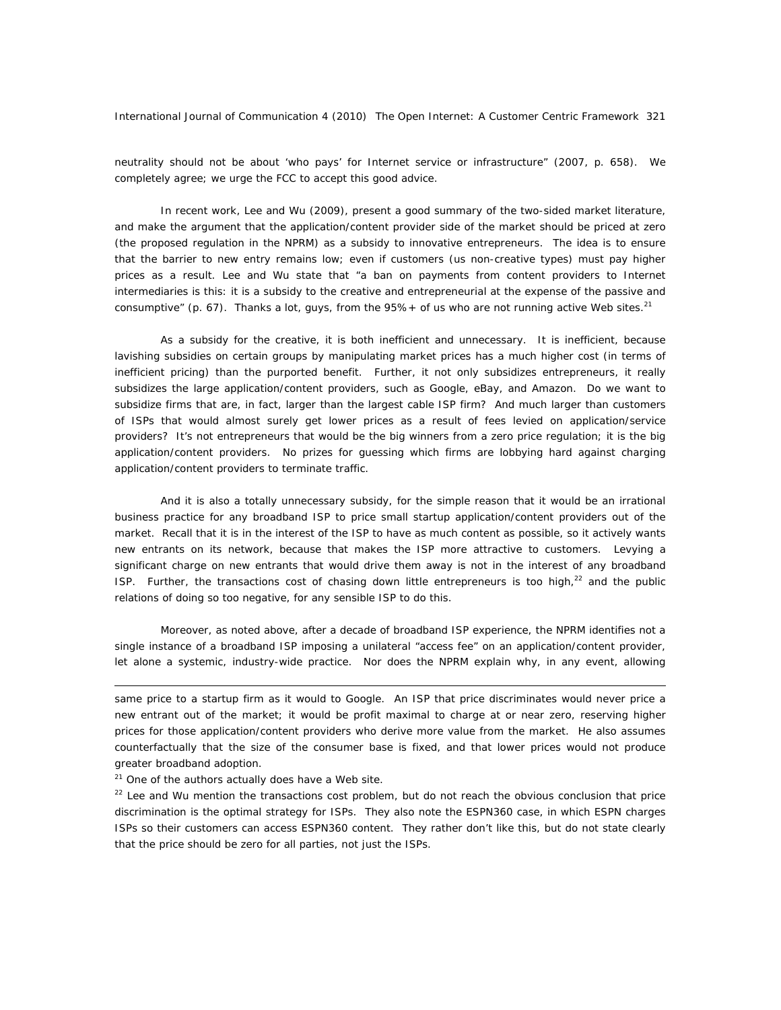neutrality should not be about 'who pays' for Internet service or infrastructure" (2007, p. 658). We completely agree; we urge the FCC to accept this good advice.

In recent work, Lee and Wu (2009), present a good summary of the two-sided market literature, and make the argument that the application/content provider side of the market should be priced at zero (the proposed regulation in the NPRM) as a subsidy to innovative entrepreneurs. The idea is to ensure that the barrier to new entry remains low; even if customers (us non-creative types) must pay higher prices as a result. Lee and Wu state that "a ban on payments from content providers to Internet intermediaries is this: it is a subsidy to the creative and entrepreneurial at the expense of the passive and consumptive" (p. 67). Thanks a lot, guys, from the  $95\%+$  of us who are not running active Web sites.<sup>21</sup>

As a subsidy for the creative, it is both inefficient and unnecessary. It is inefficient, because lavishing subsidies on certain groups by manipulating market prices has a much higher cost (in terms of inefficient pricing) than the purported benefit. Further, it not only subsidizes entrepreneurs, it *really* subsidizes the large application/content providers, such as Google, eBay, and Amazon. Do we want to subsidize firms that are, in fact, larger than the largest cable ISP firm? And much larger than customers of ISPs that would almost surely get lower prices as a result of fees levied on application/service providers? It's not entrepreneurs that would be the big winners from a zero price regulation; it is the big application/content providers. No prizes for guessing which firms are lobbying hard against charging application/content providers to terminate traffic.

And it is also a totally unnecessary subsidy, for the simple reason that it would be an irrational business practice for any broadband ISP to price small startup application/content providers out of the market. Recall that it is in the interest of the ISP to have as much content as possible, so it actively wants new entrants on its network, because that makes the ISP more attractive to customers. Levying a significant charge on new entrants that would drive them away is not in the interest of any broadband ISP. Further, the transactions cost of chasing down little entrepreneurs is too high, $^{22}$  and the public relations of doing so too negative, for any sensible ISP to do this.

Moreover, as noted above, after a decade of broadband ISP experience, the NPRM identifies not a single instance of a broadband ISP imposing a unilateral "access fee" on an application/content provider, let alone a systemic, industry-wide practice. Nor does the NPRM explain why, in any event, allowing

<sup>21</sup> One of the authors actually does have a Web site.

 $\overline{a}$ 

 $22$  Lee and Wu mention the transactions cost problem, but do not reach the obvious conclusion that price discrimination is the optimal strategy for ISPs. They also note the ESPN360 case, in which ESPN charges ISPs so their customers can access ESPN360 content. They rather don't like this, but do not state clearly that the price should be zero for all parties, not just the ISPs.

same price to a startup firm as it would to Google. An ISP that price discriminates would never price a new entrant out of the market; it would be profit maximal to charge at or near zero, reserving higher prices for those application/content providers who derive more value from the market. He also assumes counterfactually that the size of the consumer base is fixed, and that lower prices would not produce greater broadband adoption.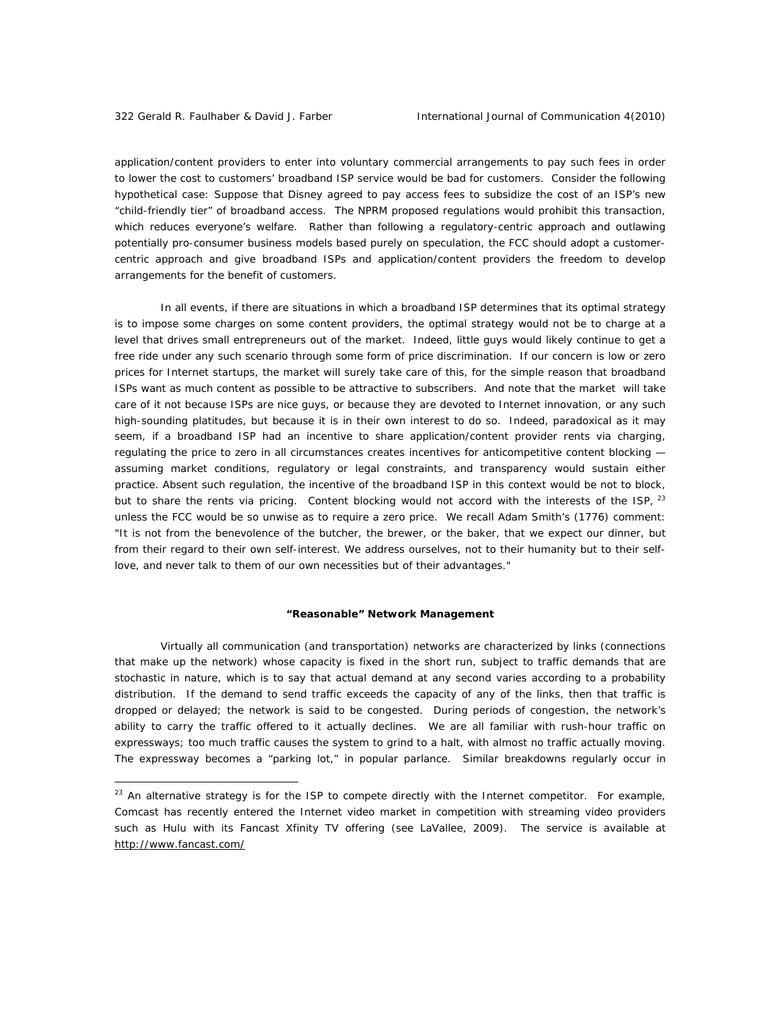application/content providers to enter into voluntary commercial arrangements to pay such fees in order to lower the cost to customers' broadband ISP service would be bad for customers. Consider the following hypothetical case: Suppose that Disney agreed to pay access fees to subsidize the cost of an ISP's new "child-friendly tier" of broadband access. The NPRM proposed regulations would prohibit this transaction, which reduces everyone's welfare. Rather than following a *regulatory-centric* approach and outlawing potentially pro-consumer business models based purely on speculation, the FCC should adopt a *customercentric* approach and give broadband ISPs and application/content providers the freedom to develop arrangements for the benefit of customers.

In all events, if there are situations in which a broadband ISP determines that its optimal strategy is to impose some charges on some content providers, the optimal strategy would not be to charge at a level that drives small entrepreneurs out of the market. Indeed, little guys would likely continue to get a free ride under any such scenario through some form of price discrimination. If our concern is low or zero prices for Internet startups, the market will surely take care of this, for the simple reason that broadband ISPs want as much content as possible to be attractive to subscribers. And note that the market will take care of it not because ISPs are nice guys, or because they are devoted to Internet innovation, or any such high-sounding platitudes, but because it is in their own interest to do so. Indeed, paradoxical as it may seem, if a broadband ISP had an incentive to share application/content provider rents via charging, regulating the price to zero in all circumstances *creates* incentives for anticompetitive content blocking assuming market conditions, regulatory or legal constraints, and transparency would sustain either practice. Absent such regulation, the incentive of the broadband ISP in this context would be not to block, but to share the rents via pricing. Content blocking would not accord with the interests of the ISP, <sup>23</sup> unless the FCC would be so unwise as to require a zero price. We recall Adam Smith's (1776) comment: "It is not from the benevolence of the butcher, the brewer, or the baker, that we expect our dinner, but from their regard to their own self-interest. We address ourselves, not to their humanity but to their selflove, and never talk to them of our own necessities but of their advantages."

#### *"Reasonable" Network Management*

Virtually all communication (and transportation) networks are characterized by links (connections that make up the network) whose capacity is fixed in the short run, subject to traffic demands that are stochastic in nature, which is to say that actual demand at any second varies according to a probability distribution. If the demand to send traffic exceeds the capacity of any of the links, then that traffic is dropped or delayed; the network is said to be *congested*. During periods of congestion, the network's ability to carry the traffic offered to it actually declines. We are all familiar with rush-hour traffic on expressways; too much traffic causes the system to grind to a halt, with almost no traffic actually moving. The expressway becomes a "parking lot," in popular parlance. Similar breakdowns regularly occur in

<sup>&</sup>lt;sup>23</sup> An alternative strategy is for the ISP to compete directly with the Internet competitor. For example, Comcast has recently entered the Internet video market in competition with streaming video providers such as Hulu with its Fancast Xfinity TV offering (see LaVallee, 2009). The service is available at http://www.fancast.com/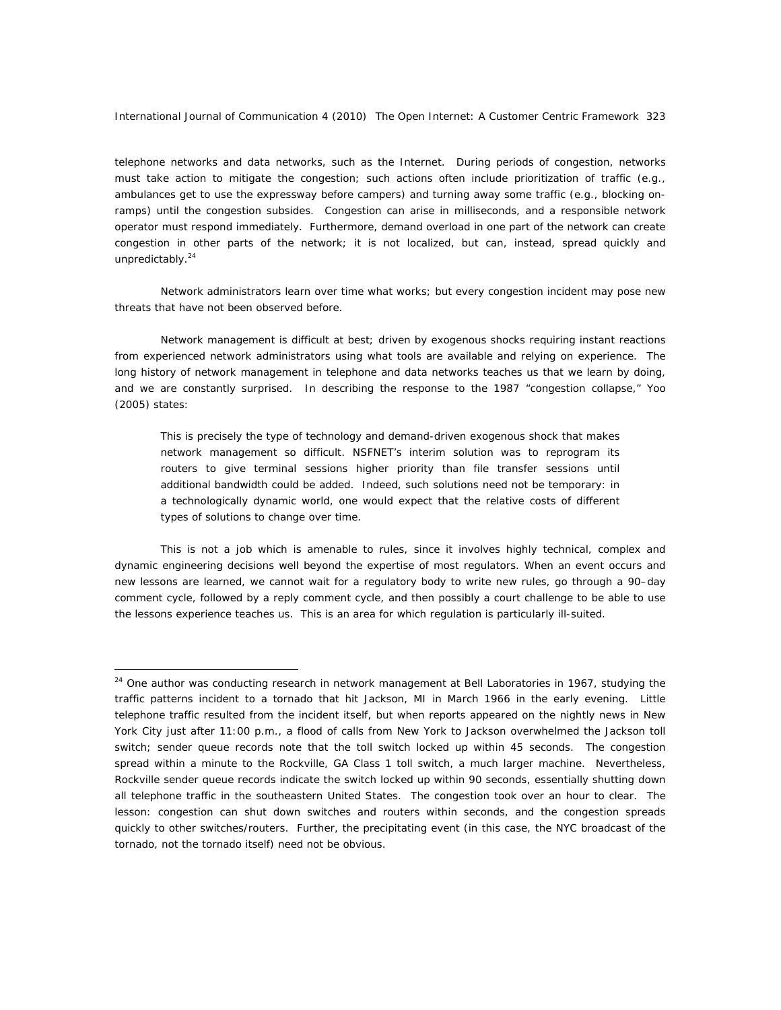telephone networks and data networks, such as the Internet. During periods of congestion, networks must take action to mitigate the congestion; such actions often include prioritization of traffic (e.g., ambulances get to use the expressway before campers) and turning away some traffic (e.g., blocking onramps) until the congestion subsides. Congestion can arise in milliseconds, and a responsible network operator must respond immediately. Furthermore, demand overload in one part of the network can create congestion in other parts of the network; it is not localized, but can, instead, spread quickly and unpredictably.<sup>24</sup>

Network administrators learn over time what works; but every congestion incident may pose new threats that have not been observed before.

Network management is difficult at best; driven by exogenous shocks requiring instant reactions from experienced network administrators using what tools are available and relying on experience. The long history of network management in telephone and data networks teaches us that we learn by doing, and we are constantly surprised. In describing the response to the 1987 "congestion collapse," Yoo (2005) states:

This is precisely the type of technology and demand-driven exogenous shock that makes network management so difficult. NSFNET's interim solution was to reprogram its routers to give terminal sessions higher priority than file transfer sessions until additional bandwidth could be added. Indeed, such solutions need not be temporary: in a technologically dynamic world, one would expect that the relative costs of different types of solutions to change over time.

This is not a job which is amenable to rules, since it involves highly technical, complex and dynamic engineering decisions well beyond the expertise of most regulators. When an event occurs and new lessons are learned, we cannot wait for a regulatory body to write new rules, go through a 90–day comment cycle, followed by a reply comment cycle, and then possibly a court challenge to be able to use the lessons experience teaches us. This is an area for which regulation is particularly ill-suited.

 $24$  One author was conducting research in network management at Bell Laboratories in 1967, studying the traffic patterns incident to a tornado that hit Jackson, MI in March 1966 in the early evening. Little telephone traffic resulted from the incident itself, but when reports appeared on the nightly news in New York City just after 11:00 p.m., a flood of calls from New York to Jackson overwhelmed the Jackson toll switch; sender queue records note that the toll switch locked up within 45 seconds. The congestion spread within a minute to the Rockville, GA Class 1 toll switch, a much larger machine. Nevertheless, Rockville sender queue records indicate the switch locked up within 90 seconds, essentially shutting down all telephone traffic in the southeastern United States. The congestion took over an hour to clear. The lesson: congestion can shut down switches and routers within seconds, and the congestion spreads quickly to other switches/routers. Further, the precipitating event (in this case, the NYC broadcast of the tornado, not the tornado itself) need not be obvious.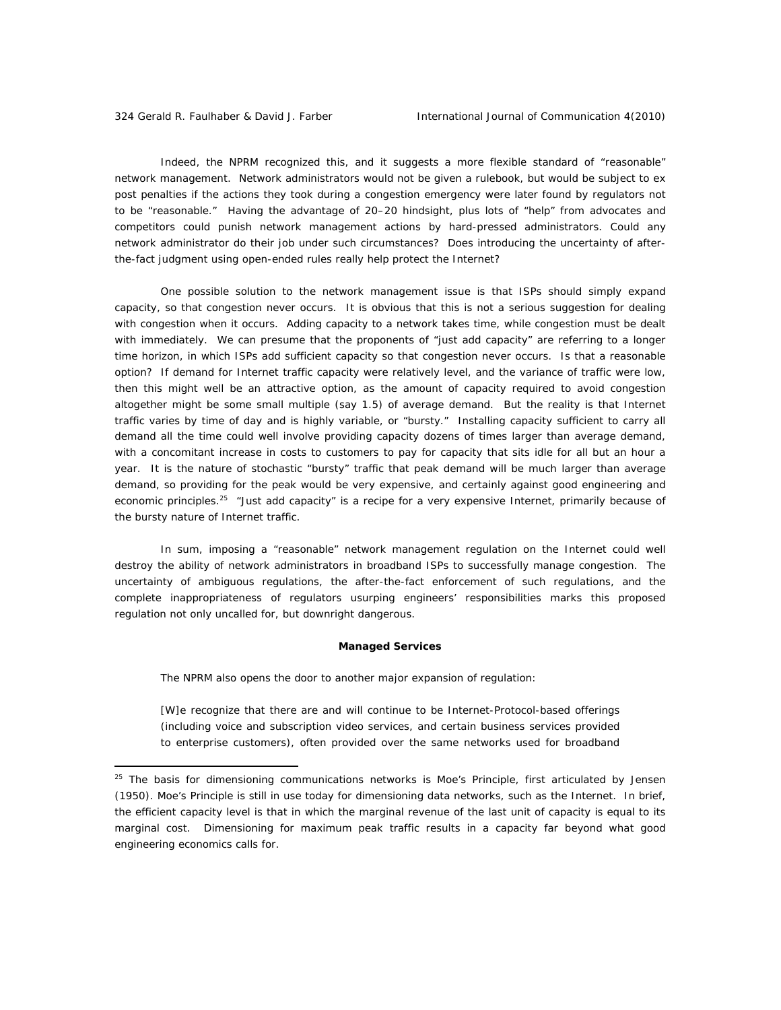Indeed, the NPRM recognized this, and it suggests a more flexible standard of "reasonable" network management. Network administrators would not be given a rulebook, but would be subject to *ex post* penalties if the actions they took during a congestion emergency were later found by regulators not to be "reasonable." Having the advantage of 20–20 hindsight, plus lots of "help" from advocates and competitors could punish network management actions by hard-pressed administrators. Could any network administrator do their job under such circumstances? Does introducing the uncertainty of afterthe-fact judgment using open-ended rules really help protect the Internet?

One possible solution to the network management issue is that ISPs should simply expand capacity, so that congestion never occurs. It is obvious that this is not a serious suggestion for dealing with congestion when it occurs. Adding capacity to a network takes time, while congestion must be dealt with immediately. We can presume that the proponents of "just add capacity" are referring to a longer time horizon, in which ISPs add sufficient capacity so that congestion *never* occurs. Is that a reasonable option? If demand for Internet traffic capacity were relatively level, and the variance of traffic were low, then this might well be an attractive option, as the amount of capacity required to avoid congestion altogether might be some small multiple (say 1.5) of *average* demand. But the reality is that Internet traffic varies by time of day and is highly variable, or "bursty." Installing capacity sufficient to carry all demand all the time could well involve providing capacity *dozens of times* larger than average demand, with a concomitant increase in costs to customers to pay for capacity that sits idle for all but an hour a year. It is the nature of stochastic "bursty" traffic that peak demand will be much larger than average demand, so providing for the peak would be very expensive, and certainly against good engineering and economic principles.<sup>25</sup> "Just add capacity" is a recipe for a very expensive Internet, primarily because of the bursty nature of Internet traffic.

In sum, imposing a "reasonable" network management regulation on the Internet could well destroy the ability of network administrators in broadband ISPs to successfully manage congestion. The uncertainty of ambiguous regulations, the after-the-fact enforcement of such regulations, and the complete inappropriateness of regulators usurping engineers' responsibilities marks this proposed regulation not only uncalled for, but downright dangerous.

## *Managed Services*

The NPRM also opens the door to another major expansion of regulation:

[W]e recognize that there are and will continue to be Internet-Protocol-based offerings (including voice and subscription video services, and certain business services provided to enterprise customers), often provided over the same networks used for broadband

 $25$  The basis for dimensioning communications networks is Moe's Principle, first articulated by Jensen (1950). Moe's Principle is still in use today for dimensioning data networks, such as the Internet. In brief, the efficient capacity level is that in which the marginal revenue of the last unit of capacity is equal to its marginal cost. Dimensioning for maximum peak traffic results in a capacity far beyond what good engineering economics calls for.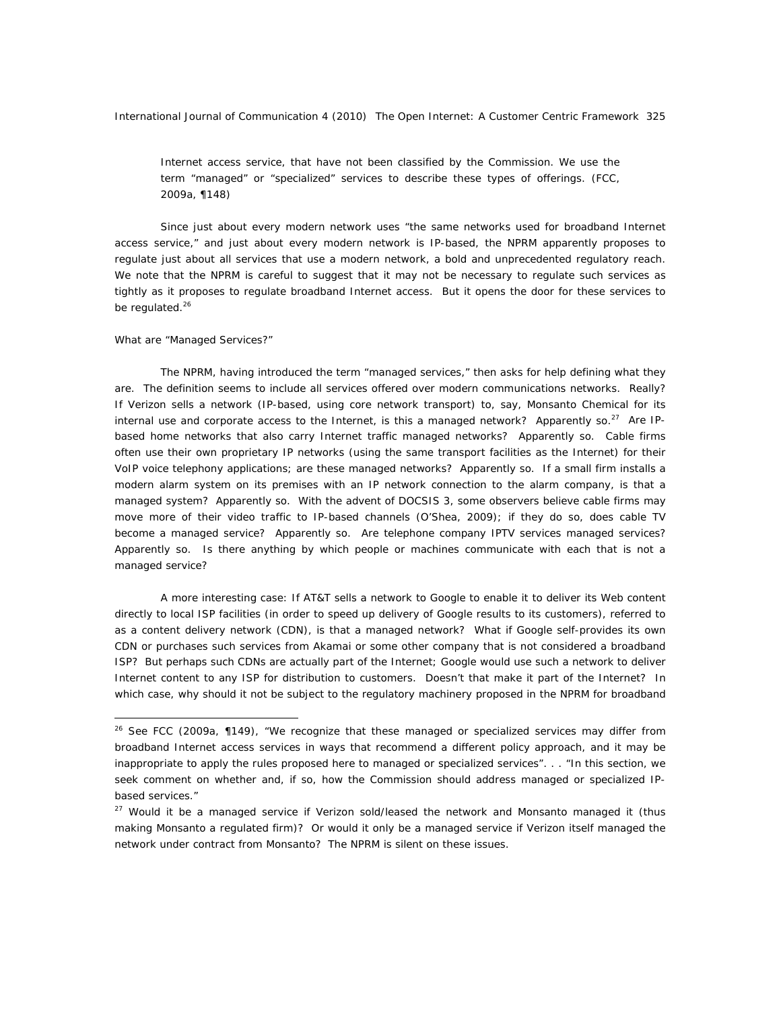Internet access service, that have not been classified by the Commission. We use the term "managed" or "specialized" services to describe these types of offerings. (FCC, 2009a, ¶148)

Since just about every modern network uses "the same networks used for broadband Internet access service," and just about every modern network is IP-based, the NPRM apparently proposes to regulate just about all services that use a modern network, a bold and unprecedented regulatory reach. We note that the NPRM is careful to suggest that it may not be necessary to regulate such services as tightly as it proposes to regulate broadband Internet access. *But it opens the door for these services to be regulated*. 26

#### *What are "Managed Services?"*

 $\overline{a}$ 

The NPRM, having introduced the term "managed services," then asks for help defining what they are. The definition seems to include *all* services offered over modern communications networks. Really? If Verizon sells a network (IP-based, using core network transport) to, say, Monsanto Chemical for its internal use and corporate access to the Internet, is this a managed network? Apparently so.<sup>27</sup> Are IPbased home networks that also carry Internet traffic managed networks? Apparently so. Cable firms often use their own proprietary IP networks (using the same transport facilities as the Internet) for their VoIP voice telephony applications; are these managed networks? Apparently so. If a small firm installs a modern alarm system on its premises with an IP network connection to the alarm company, is that a managed system? Apparently so. With the advent of DOCSIS 3, some observers believe cable firms may move more of their video traffic to IP-based channels (O'Shea, 2009); if they do so, does cable TV become a managed service? Apparently so. Are telephone company IPTV services managed services? Apparently so. Is there *anything* by which people or machines communicate with each that is *not* a managed service?

A more interesting case: If AT&T sells a network to Google to enable it to deliver its Web content directly to local ISP facilities (in order to speed up delivery of Google results to its customers), referred to as a content delivery network (CDN), is that a managed network? What if Google self-provides its own CDN or purchases such services from Akamai or some other company that is not considered a broadband ISP? But perhaps such CDNs are actually part of the Internet; Google would use such a network to deliver Internet content to any ISP for distribution to customers. Doesn't that make it part of the Internet? In which case, why should it not be subject to the regulatory machinery proposed in the NPRM for broadband

<sup>&</sup>lt;sup>26</sup> See FCC (2009a, ¶149), "We recognize that these managed or specialized services may differ from broadband Internet access services in ways that recommend a different policy approach, and it may be inappropriate to apply the rules proposed here to managed or specialized services". . . "In this section, we seek comment on whether and, if so, how the Commission should address managed or specialized IPbased services."

 $27$  Would it be a managed service if Verizon sold/leased the network and Monsanto managed it (thus making Monsanto a regulated firm)? Or would it only be a managed service if Verizon itself managed the network under contract from Monsanto? The NPRM is silent on these issues.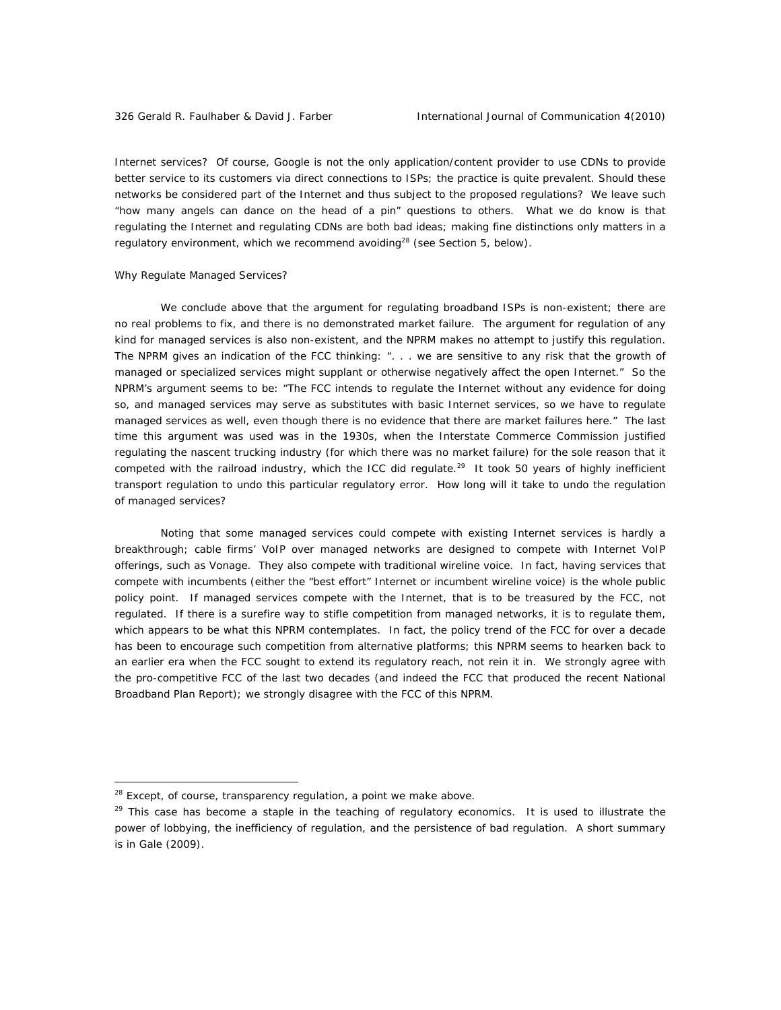Internet services? Of course, Google is not the only application/content provider to use CDNs to provide better service to its customers via direct connections to ISPs; the practice is quite prevalent. Should these networks be considered part of the Internet and thus subject to the proposed regulations? We leave such "how many angels can dance on the head of a pin" questions to others. What we do know is that regulating the Internet *and* regulating CDNs are both bad ideas; making fine distinctions only matters in a regulatory environment, which we recommend avoiding<sup>28</sup> (see Section 5, below).

#### *Why Regulate Managed Services?*

We conclude above that the argument for regulating broadband ISPs is non-existent; there are no real problems to fix, and there is no demonstrated market failure. The argument for regulation of any kind for managed services is also non-existent, and the NPRM makes no attempt to justify this regulation. The NPRM gives an indication of the FCC thinking: ". . . we are sensitive to any risk that the growth of managed or specialized services might supplant or otherwise negatively affect the open Internet." So the NPRM's argument seems to be: "The FCC intends to regulate the Internet without any evidence for doing so, and managed services may serve as substitutes with basic Internet services, so we have to regulate managed services as well, even though there is no evidence that there are market failures here." The last time this argument was used was in the 1930s, when the Interstate Commerce Commission justified regulating the nascent trucking industry (for which there was no market failure) for the sole reason that it competed with the railroad industry, which the ICC did regulate.<sup>29</sup> It took 50 years of highly inefficient transport regulation to undo this particular regulatory error. How long will it take to undo the regulation of managed services?

Noting that some managed services could compete with existing Internet services is hardly a breakthrough; cable firms' VoIP over managed networks are designed to compete with Internet VoIP offerings, such as Vonage. They also compete with traditional wireline voice. In fact, having services that compete with incumbents (either the "best effort" Internet or incumbent wireline voice) is the whole public policy point. If managed services compete with the Internet, that is to be treasured by the FCC, not regulated. If there is a surefire way to stifle competition from managed networks, it is to regulate them, which appears to be what this NPRM contemplates. In fact, the policy trend of the FCC for over a decade has been to encourage such competition from alternative platforms; this NPRM seems to hearken back to an earlier era when the FCC sought to extend its regulatory reach, not rein it in. We strongly agree with the pro-competitive FCC of the last two decades (and indeed the FCC that produced the recent National Broadband Plan Report); we strongly disagree with the FCC of this NPRM.

<sup>&</sup>lt;sup>28</sup> Except, of course, transparency regulation, a point we make above.

 $29$  This case has become a staple in the teaching of regulatory economics. It is used to illustrate the power of lobbying, the inefficiency of regulation, and the persistence of bad regulation. A short summary is in Gale (2009).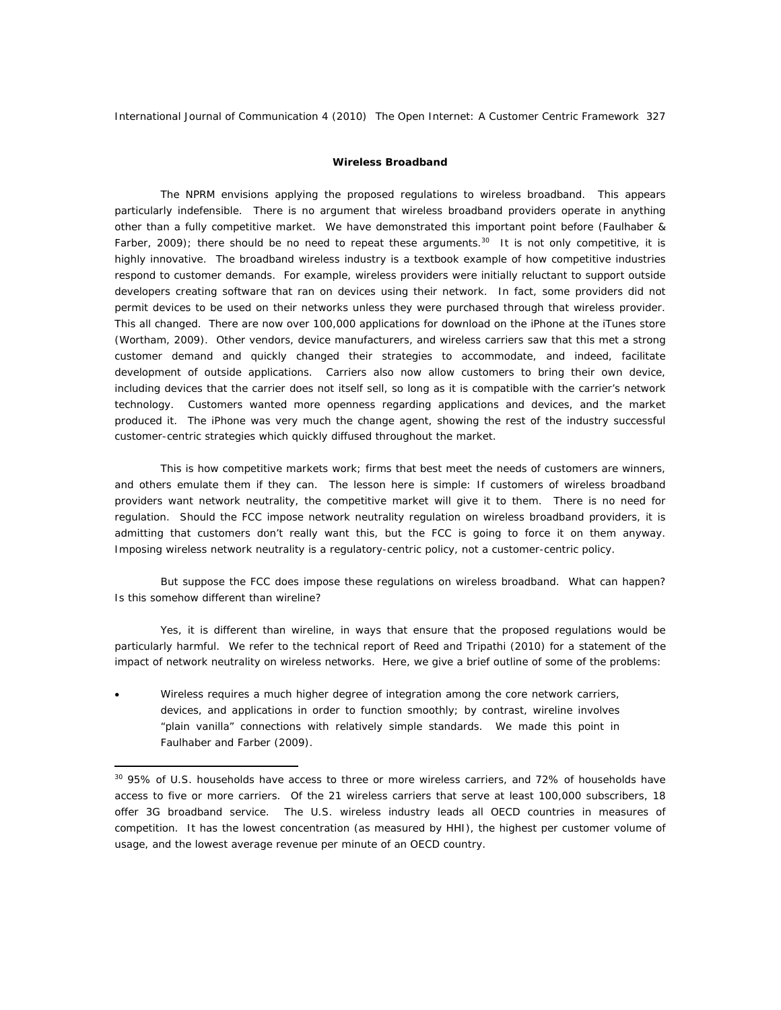## **Wireless Broadband**

The NPRM envisions applying the proposed regulations to wireless broadband. This appears particularly indefensible. There is no argument that wireless broadband providers operate in anything other than a fully competitive market. We have demonstrated this important point before (Faulhaber & Farber, 2009); there should be no need to repeat these arguments.<sup>30</sup> It is not only competitive, it is highly innovative. The broadband wireless industry is a textbook example of how competitive industries respond to customer demands. For example, wireless providers were initially reluctant to support outside developers creating software that ran on devices using their network. In fact, some providers did not permit devices to be used on their networks unless they were purchased through that wireless provider. This all changed. There are now over 100,000 applications for download on the iPhone at the iTunes store (Wortham, 2009). Other vendors, device manufacturers, and wireless carriers saw that this met a strong customer demand and quickly changed their strategies to accommodate, and indeed, facilitate development of outside applications. Carriers also now allow customers to bring their own device, including devices that the carrier does not itself sell, so long as it is compatible with the carrier's network technology. Customers wanted more openness regarding applications and devices, and the market produced it. The iPhone was very much the change agent, showing the rest of the industry successful customer-centric strategies which quickly diffused throughout the market.

This is how competitive markets work; firms that best meet the needs of customers are winners, and others emulate them if they can. The lesson here is simple: *If customers of wireless broadband providers want network neutrality, the competitive market will give it to them. There is no need for regulation.* Should the FCC impose network neutrality regulation on wireless broadband providers, it is admitting that customers don't really want this, but the FCC is going to force it on them anyway. *Imposing wireless network neutrality is a regulatory-centric policy, not a customer-centric policy*.

But suppose the FCC does impose these regulations on wireless broadband. What can happen? Is this somehow different than wireline?

Yes, it is different than wireline, in ways that ensure that the proposed regulations would be particularly harmful. We refer to the technical report of Reed and Tripathi (2010) for a statement of the impact of network neutrality on wireless networks. Here, we give a brief outline of some of the problems:

• Wireless requires a much higher degree of integration among the core network carriers, devices, and applications in order to function smoothly; by contrast, wireline involves "plain vanilla" connections with relatively simple standards. We made this point in Faulhaber and Farber (2009).

<sup>&</sup>lt;sup>30</sup> 95% of U.S. households have access to three or more wireless carriers, and 72% of households have access to five or more carriers. Of the 21 wireless carriers that serve at least 100,000 subscribers, 18 offer 3G broadband service. The U.S. wireless industry leads all OECD countries in measures of competition. It has the lowest concentration (as measured by HHI), the highest per customer volume of usage, and the lowest average revenue per minute of an OECD country.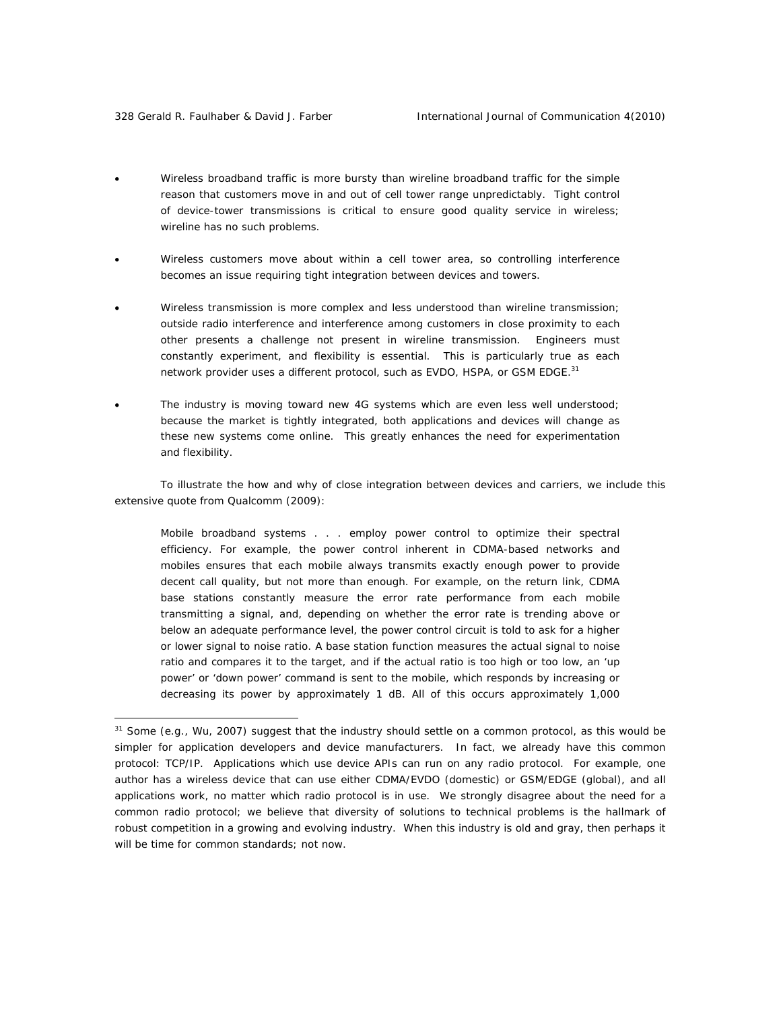- Wireless broadband traffic is more bursty than wireline broadband traffic for the simple reason that customers move in and out of cell tower range unpredictably. Tight control of device-tower transmissions is critical to ensure good quality service in wireless; wireline has no such problems.
- Wireless customers move about within a cell tower area, so controlling interference becomes an issue requiring tight integration between devices and towers.
- Wireless transmission is more complex and less understood than wireline transmission; outside radio interference and interference among customers in close proximity to each other presents a challenge not present in wireline transmission. Engineers must constantly experiment, and flexibility is essential. This is particularly true as each network provider uses a different protocol, such as EVDO, HSPA, or GSM EDGE.<sup>31</sup>
- The industry is moving toward new 4G systems which are even less well understood; because the market is tightly integrated, both applications and devices will change as these new systems come online. This greatly enhances the need for experimentation and flexibility.

To illustrate the how and why of close integration between devices and carriers, we include this extensive quote from Qualcomm (2009):

Mobile broadband systems . . . employ power control to optimize their spectral efficiency. For example, the power control inherent in CDMA-based networks and mobiles ensures that each mobile always transmits exactly enough power to provide decent call quality, but not more than enough. For example, on the return link, CDMA base stations constantly measure the error rate performance from each mobile transmitting a signal, and, depending on whether the error rate is trending above or below an adequate performance level, the power control circuit is told to ask for a higher or lower signal to noise ratio. A base station function measures the actual signal to noise ratio and compares it to the target, and if the actual ratio is too high or too low, an 'up power' or 'down power' command is sent to the mobile, which responds by increasing or decreasing its power by approximately 1 dB. All of this occurs approximately 1,000

<sup>&</sup>lt;sup>31</sup> Some (e.g., Wu, 2007) suggest that the industry should settle on a common protocol, as this would be simpler for application developers and device manufacturers. In fact, we already have this common protocol: TCP/IP. Applications which use device APIs can run on any radio protocol. For example, one author has a wireless device that can use either CDMA/EVDO (domestic) or GSM/EDGE (global), and all applications work, no matter which radio protocol is in use. We strongly disagree about the need for a common radio protocol; we believe that diversity of solutions to technical problems is the hallmark of robust competition in a growing and evolving industry. When this industry is old and gray, then perhaps it will be time for common standards; not now.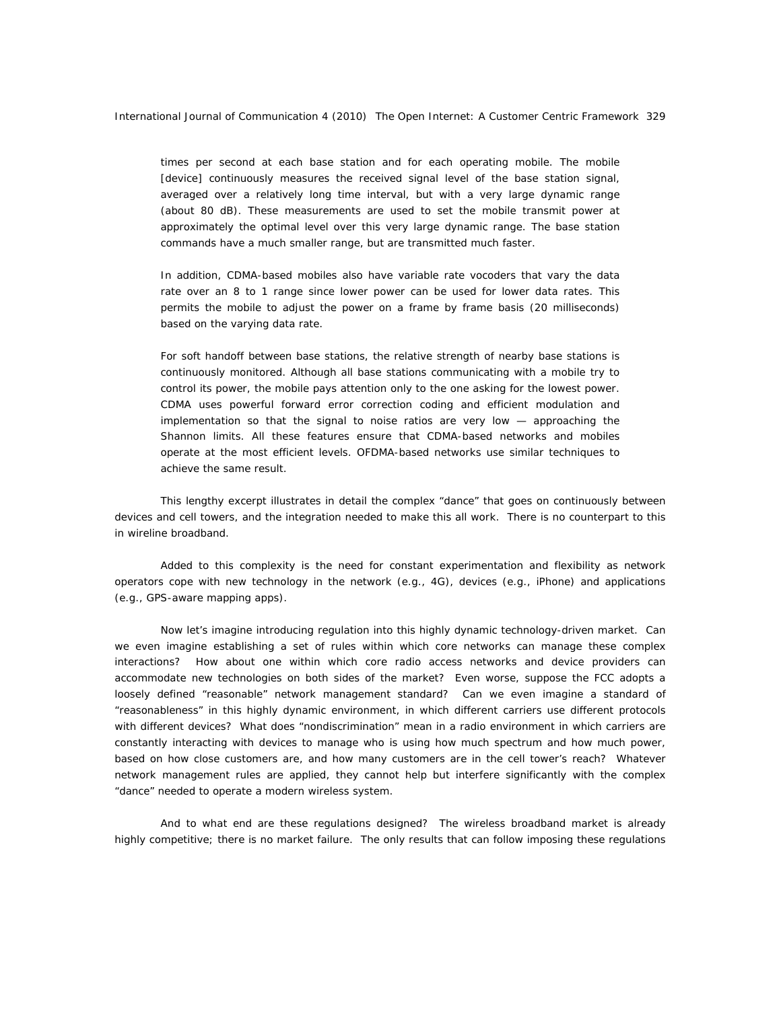times per second at each base station and for each operating mobile. The mobile [device] continuously measures the received signal level of the base station signal, averaged over a relatively long time interval, but with a very large dynamic range (about 80 dB). These measurements are used to set the mobile transmit power at approximately the optimal level over this very large dynamic range. The base station commands have a much smaller range, but are transmitted much faster.

In addition, CDMA-based mobiles also have variable rate vocoders that vary the data rate over an 8 to 1 range since lower power can be used for lower data rates. This permits the mobile to adjust the power on a frame by frame basis (20 milliseconds) based on the varying data rate.

For soft handoff between base stations, the relative strength of nearby base stations is continuously monitored. Although all base stations communicating with a mobile try to control its power, the mobile pays attention only to the one asking for the lowest power. CDMA uses powerful forward error correction coding and efficient modulation and implementation so that the signal to noise ratios are very low — approaching the Shannon limits. All these features ensure that CDMA-based networks and mobiles operate at the most efficient levels. OFDMA-based networks use similar techniques to achieve the same result.

This lengthy excerpt illustrates in detail the complex "dance" that goes on continuously between devices and cell towers, and the integration needed to make this all work. There is no counterpart to this in wireline broadband.

Added to this complexity is the need for constant experimentation and flexibility as network operators cope with new technology in the network (e.g., 4G), devices (e.g., iPhone) and applications (e.g., GPS-aware mapping apps).

Now let's imagine introducing regulation into this highly dynamic technology-driven market. Can we even imagine establishing a set of rules within which core networks can manage these complex interactions? How about one within which core radio access networks and device providers can accommodate new technologies on both sides of the market? Even worse, suppose the FCC adopts a loosely defined "reasonable" network management standard? Can we even imagine a standard of "reasonableness" in this highly dynamic environment, in which different carriers use different protocols with different devices? What does "nondiscrimination" mean in a radio environment in which carriers are constantly interacting with devices to manage who is using how much spectrum and how much power, based on how close customers are, and how many customers are in the cell tower's reach? Whatever network management rules are applied, they cannot help but interfere significantly with the complex "dance" needed to operate a modern wireless system.

And to what end are these regulations designed? The wireless broadband market is already highly competitive; there is no market failure. The only results that can follow imposing these regulations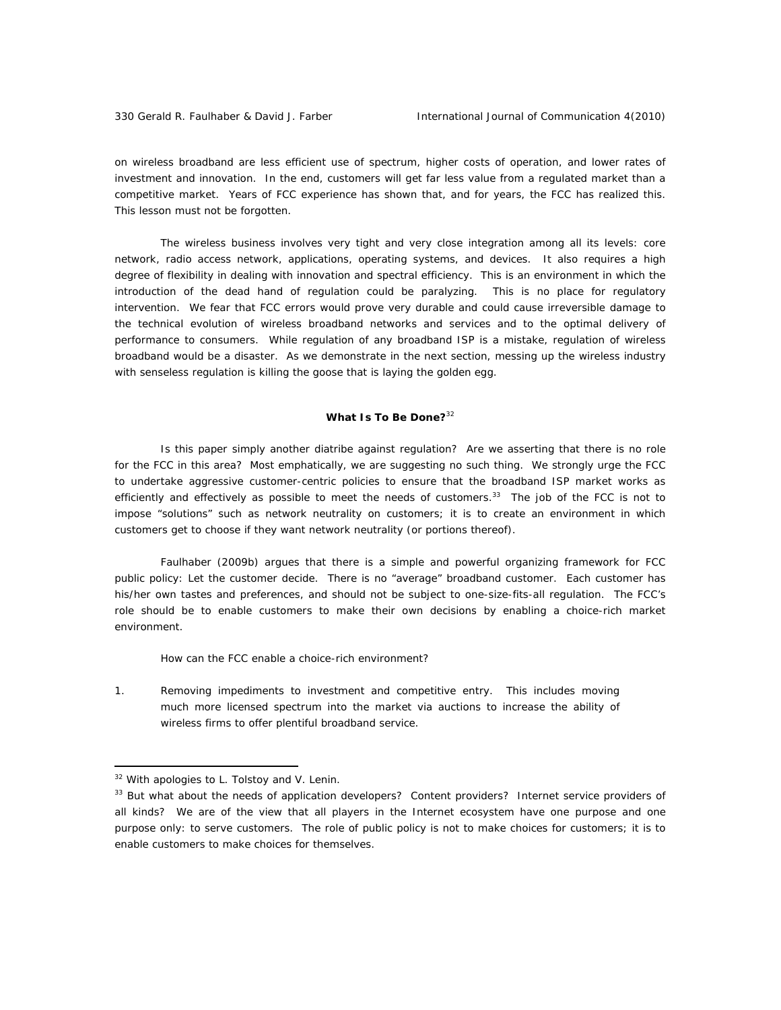on wireless broadband are *less efficient use of spectrum, higher costs of operation, and lower rates of investment and innovation.* In the end, customers will get far less value from a regulated market than a competitive market. Years of FCC experience has shown that, and for years, the FCC has realized this. This lesson must not be forgotten.

The wireless business involves very tight and very close integration among all its levels: core network, radio access network, applications, operating systems, and devices. It also requires a high degree of flexibility in dealing with innovation and spectral efficiency. This is an environment in which the introduction of the dead hand of regulation could be paralyzing. This is no place for regulatory intervention. We fear that FCC errors would prove very durable and could cause irreversible damage to the technical evolution of wireless broadband networks and services and to the optimal delivery of performance to consumers. While regulation of any broadband ISP is a mistake, regulation of wireless broadband would be a disaster. As we demonstrate in the next section, messing up the wireless industry with senseless regulation is killing the goose that is laying the golden egg.

# **What Is To Be Done?**<sup>32</sup>

Is this paper simply another diatribe against regulation? Are we asserting that there is no role for the FCC in this area? Most emphatically, we are suggesting no such thing. We strongly urge the FCC to undertake aggressive *customer-centric* policies to ensure that the broadband ISP market works as efficiently and effectively as possible to meet the needs of customers.33 The job of the FCC is *not* to impose "solutions" such as network neutrality on customers; it is to create an environment in which customers get to choose if they want network neutrality (or portions thereof).

Faulhaber (2009b) argues that there is a simple and powerful organizing framework for FCC public policy: *Let the customer decide*. There is no "average" broadband customer. Each customer has his/her own tastes and preferences, and should not be subject to one-size-fits-all regulation. The FCC's role should be to enable customers to make their own decisions by enabling a *choice-rich market environment.*

How can the FCC enable a choice-rich environment?

1. *Removing impediments to investment and competitive entry.* This includes moving much more licensed spectrum into the market via auctions to increase the ability of wireless firms to offer plentiful broadband service.

<sup>&</sup>lt;sup>32</sup> With apologies to L. Tolstoy and V. Lenin.

<sup>&</sup>lt;sup>33</sup> But what about the needs of application developers? Content providers? Internet service providers of all kinds? We are of the view that all players in the Internet ecosystem have one purpose and one purpose only: to serve customers. The role of public policy is *not* to make choices for customers; it is to enable customers to make choices for themselves.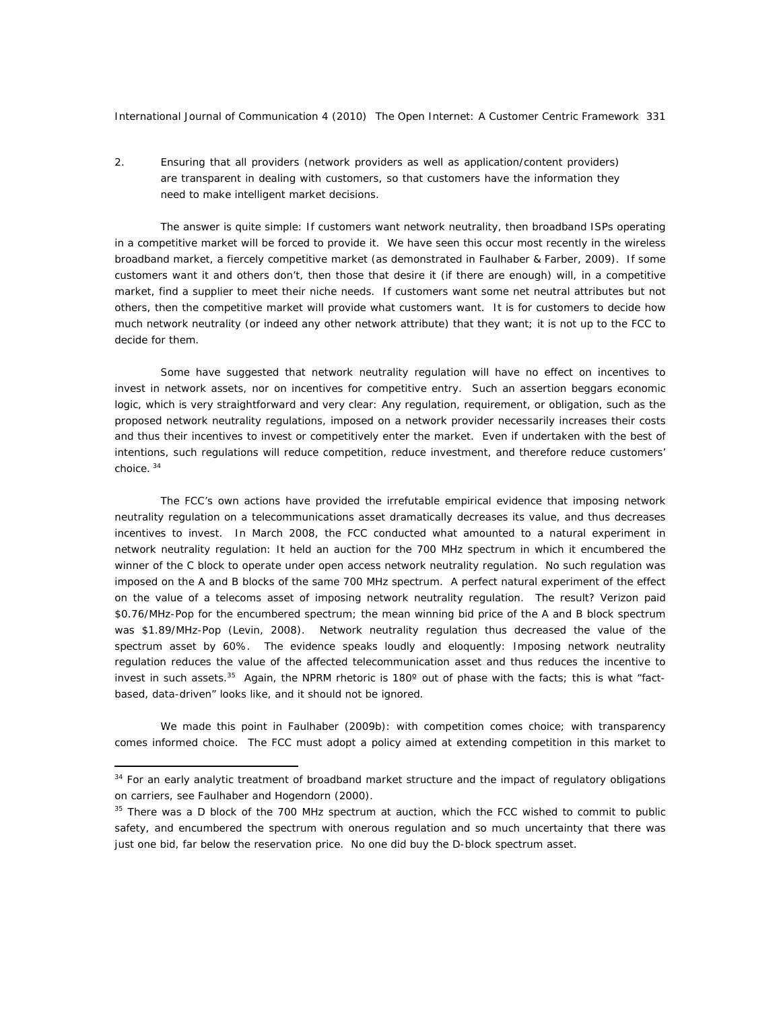2. Ensuring that *all* providers (network providers as well as application/content providers) are *transparent in dealing with customers*, so that customers have the information they need to make intelligent market decisions.

The answer is quite simple: *If customers want network neutrality, then broadband ISPs operating in a competitive market will be forced to provide it*. We have seen this occur most recently in the wireless broadband market, a fiercely competitive market (as demonstrated in Faulhaber & Farber, 2009). If *some*  customers want it and others don't, then those that desire it (if there are enough) will, in a competitive market, find a supplier to meet their niche needs. If customers want some net neutral attributes but not others, then the competitive market will provide what customers want. *It is for customers to decide how much network neutrality* (or indeed any other network attribute) *that they want; it is not up to the FCC to decide for them*.

Some have suggested that network neutrality regulation will have no effect on incentives to invest in network assets, nor on incentives for competitive entry. Such an assertion beggars economic logic, which is very straightforward and very clear: Any regulation, requirement, or obligation, such as the proposed network neutrality regulations, imposed on a network provider necessarily increases their costs and thus their incentives to invest or competitively enter the market. Even if undertaken with the best of intentions, such regulations will reduce competition, reduce investment, and therefore reduce customers' choice. <sup>34</sup>

The FCC's own actions have provided the *irrefutable empirical evidence that imposing network neutrality regulation* on a telecommunications asset dramatically *decreases* its value, and thus *decreases incentives to invest*. In March 2008, the FCC conducted what amounted to a natural experiment in network neutrality regulation: It held an auction for the 700 MHz spectrum in which it encumbered the winner of the C block to operate under open access network neutrality regulation. No such regulation was imposed on the A and B blocks of the same 700 MHz spectrum. A perfect natural experiment of the effect on the value of a telecoms asset of imposing network neutrality regulation. The result? Verizon paid \$0.76/MHz-Pop for the encumbered spectrum; the mean winning bid price of the A and B block spectrum was \$1.89/MHz-Pop (Levin, 2008). Network neutrality regulation thus decreased the value of the spectrum asset by 60%. The evidence speaks loudly and eloquently: Imposing network neutrality regulation reduces the value of the affected telecommunication asset and thus reduces the incentive to invest in such assets.35 Again, the NPRM rhetoric is 180º out of phase with the facts; *this* is what "factbased, data-driven" looks like, and it should not be ignored.

We made this point in Faulhaber (2009b): with competition comes choice; with transparency comes informed choice. The FCC must adopt a policy aimed at extending competition in this market to

<sup>&</sup>lt;sup>34</sup> For an early analytic treatment of broadband market structure and the impact of regulatory obligations on carriers, see Faulhaber and Hogendorn (2000).

<sup>&</sup>lt;sup>35</sup> There was a D block of the 700 MHz spectrum at auction, which the FCC wished to commit to public safety, and encumbered the spectrum with onerous regulation and so much uncertainty that there was just one bid, far below the reservation price. No one did buy the D-block spectrum asset.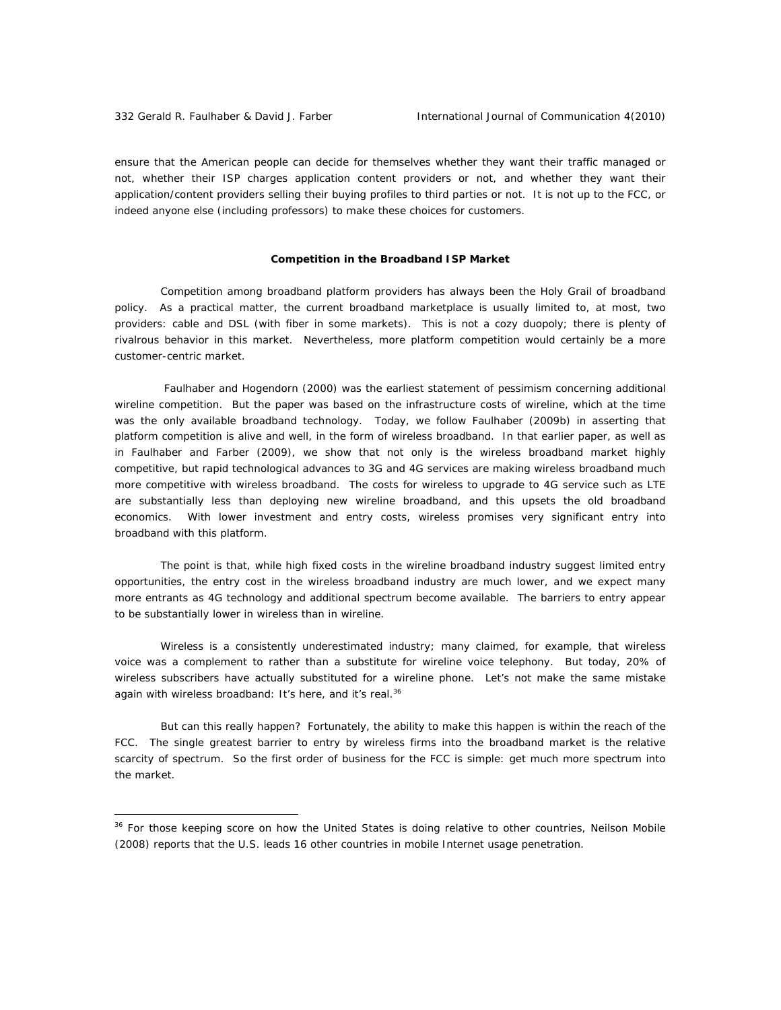ensure that the American people can decide for themselves whether they want their traffic managed or not, whether their ISP charges application content providers or not, and whether they want their application/content providers selling their buying profiles to third parties or not. It is not up to the FCC, or indeed anyone else (including professors) to make these choices for customers.

# *Competition in the Broadband ISP Market*

Competition among broadband platform providers has always been the Holy Grail of broadband policy. As a practical matter, the current broadband marketplace is usually limited to, at most, two providers: cable and DSL (with fiber in some markets). This is not a cozy duopoly; there is plenty of rivalrous behavior in this market. Nevertheless, more platform competition would certainly be a more customer-centric market.

 Faulhaber and Hogendorn (2000) was the earliest statement of pessimism concerning additional wireline competition. But the paper was based on the infrastructure costs of wireline, which at the time was the only available broadband technology. Today, we follow Faulhaber (2009b) in asserting that platform competition is alive and well, in the form of wireless broadband. In that earlier paper, as well as in Faulhaber and Farber (2009), we show that not only is the wireless broadband market highly competitive, but rapid technological advances to 3G and 4G services are making wireless broadband much more competitive with wireless broadband. The costs for wireless to upgrade to 4G service such as LTE are substantially less than deploying new wireline broadband, and this upsets the old broadband economics. With lower investment and entry costs, wireless promises very significant entry into broadband with this platform.

The point is that, while high fixed costs in the wireline broadband industry suggest limited entry opportunities, the entry cost in the wireless broadband industry are much lower, and we expect many more entrants as 4G technology and additional spectrum become available. The barriers to entry appear to be substantially lower in wireless than in wireline.

Wireless is a consistently underestimated industry; many claimed, for example, that wireless voice was a complement to rather than a substitute for wireline voice telephony. But today, 20% of wireless subscribers have actually substituted for a wireline phone. Let's not make the same mistake again with wireless broadband: It's here, and it's real.<sup>36</sup>

But can this really happen? Fortunately, the ability to make this happen is within the reach of the FCC. The single greatest barrier to entry by wireless firms into the broadband market is the relative *scarcity of spectrum*. So the first order of business for the FCC is simple: get much more spectrum into the market.

<sup>&</sup>lt;sup>36</sup> For those keeping score on how the United States is doing relative to other countries, Neilson Mobile (2008) reports that the U.S. leads 16 other countries in mobile Internet usage penetration.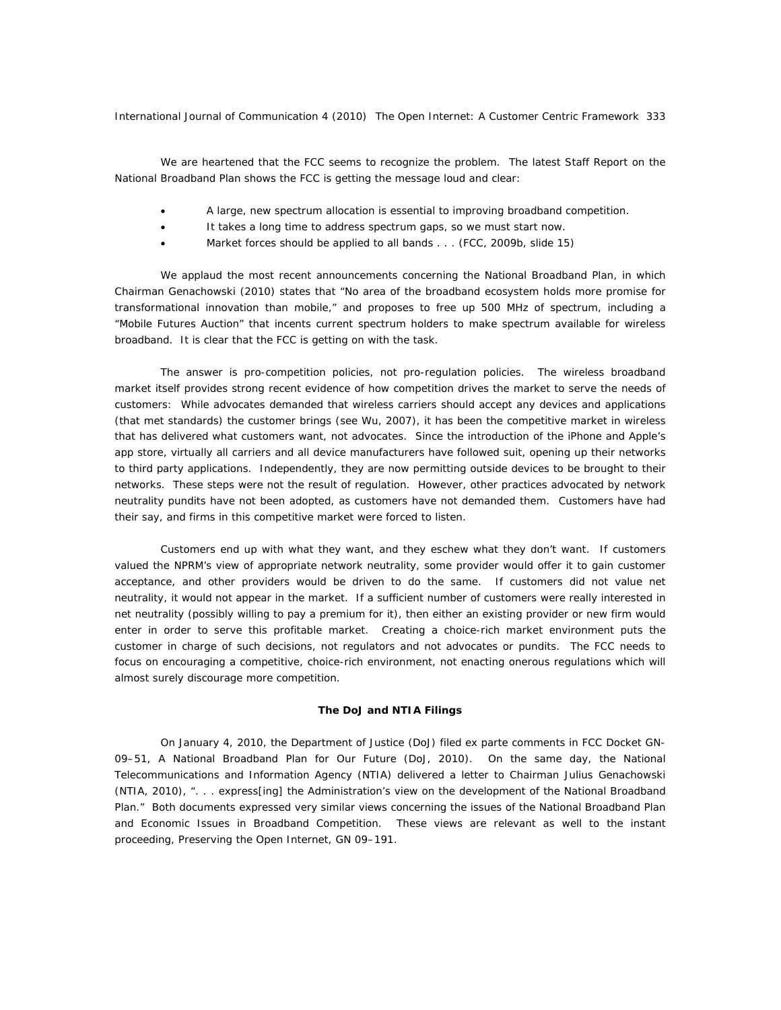We are heartened that the FCC seems to recognize the problem. The latest Staff Report on the National Broadband Plan shows the FCC is getting the message loud and clear:

- A large, new spectrum allocation is essential to improving broadband competition.
- It takes a long time to address spectrum gaps, so we must start now.
- Market forces should be applied to all bands . . . (FCC, 2009b, slide 15)

We applaud the most recent announcements concerning the National Broadband Plan, in which Chairman Genachowski (2010) states that "No area of the broadband ecosystem holds more promise for transformational innovation than mobile," and proposes to free up 500 MHz of spectrum, including a "Mobile Futures Auction" that incents current spectrum holders to make spectrum available for wireless broadband. It is clear that the FCC is getting on with the task.

The answer is pro-competition policies, not pro-regulation policies. The wireless broadband market itself provides strong recent evidence of how competition drives the market to serve the needs of customers: While advocates demanded that wireless carriers should accept any devices and applications (that met standards) the customer brings (see Wu, 2007), it has been the competitive market in wireless that has delivered what customers want, not advocates. Since the introduction of the iPhone and Apple's app store, virtually all carriers and all device manufacturers have followed suit, opening up their networks to third party applications. Independently, they are now permitting outside devices to be brought to their networks. These steps were not the result of regulation. However, other practices advocated by network neutrality pundits have not been adopted, as customers have not demanded them. Customers have had their say, and firms in this competitive market were forced to listen.

Customers end up with what they want, and they eschew what they don't want. If customers valued the NPRM's view of appropriate network neutrality, some provider would offer it to gain customer acceptance, and other providers would be driven to do the same. If customers did not value net neutrality, it would not appear in the market. If a sufficient number of customers were really interested in net neutrality (possibly willing to pay a premium for it), then either an existing provider or new firm would enter in order to serve this profitable market. Creating a choice-rich market environment puts the customer in charge of such decisions, not regulators and not advocates or pundits. The FCC needs to focus on encouraging a competitive, choice-rich environment, not enacting onerous regulations which will almost surely discourage more competition.

#### *The DoJ and NTIA Filings*

On January 4, 2010, the Department of Justice (DoJ) filed *ex parte* comments in FCC Docket GN-09–51, A National Broadband Plan for Our Future (DoJ, 2010). On the same day, the National Telecommunications and Information Agency (NTIA) delivered a letter to Chairman Julius Genachowski (NTIA, 2010), ". . . express[ing] the Administration's view on the development of the National Broadband Plan." Both documents expressed very similar views concerning the issues of the National Broadband Plan and Economic Issues in Broadband Competition. These views are relevant as well to the instant proceeding, Preserving the Open Internet, GN 09–191.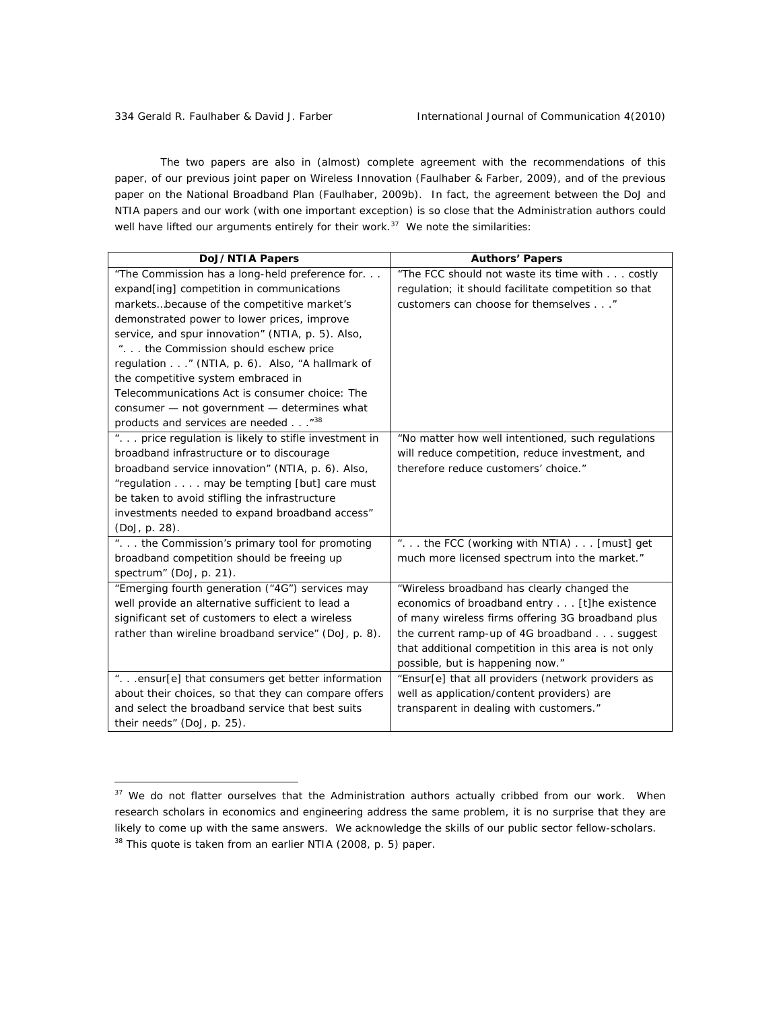The two papers are also in (almost) complete agreement with the recommendations of this paper, of our previous joint paper on Wireless Innovation (Faulhaber & Farber, 2009), and of the previous paper on the National Broadband Plan (Faulhaber, 2009b). In fact, the agreement between the DoJ and NTIA papers and our work (with one important exception) is so close that the Administration authors could well have lifted our arguments entirely for their work. $37$  We note the similarities:

| <b>DoJ/NTIA Papers</b>                               | <b>Authors' Papers</b>                               |
|------------------------------------------------------|------------------------------------------------------|
| "The Commission has a long-held preference for       | "The FCC should not waste its time with costly       |
| expand[ing] competition in communications            | regulation; it should facilitate competition so that |
| marketsbecause of the competitive market's           | customers can choose for themselves"                 |
| demonstrated power to lower prices, improve          |                                                      |
| service, and spur innovation" (NTIA, p. 5). Also,    |                                                      |
| ". the Commission should eschew price                |                                                      |
| regulation " (NTIA, p. 6). Also, "A hallmark of      |                                                      |
| the competitive system embraced in                   |                                                      |
| Telecommunications Act is consumer choice: The       |                                                      |
| consumer - not government - determines what          |                                                      |
| products and services are needed "38                 |                                                      |
| " price regulation is likely to stifle investment in | "No matter how well intentioned, such regulations    |
| broadband infrastructure or to discourage            | will reduce competition, reduce investment, and      |
| broadband service innovation" (NTIA, p. 6). Also,    | therefore reduce customers' choice."                 |
| "regulation may be tempting [but] care must          |                                                      |
| be taken to avoid stifling the infrastructure        |                                                      |
| investments needed to expand broadband access"       |                                                      |
| (DoJ, p. 28).                                        |                                                      |
| " the Commission's primary tool for promoting        | " the FCC (working with NTIA)  [must] get            |
| broadband competition should be freeing up           | much more licensed spectrum into the market."        |
| spectrum" (DoJ, p. 21).                              |                                                      |
| "Emerging fourth generation ("4G") services may      | "Wireless broadband has clearly changed the          |
| well provide an alternative sufficient to lead a     | economics of broadband entry [t]he existence         |
| significant set of customers to elect a wireless     | of many wireless firms offering 3G broadband plus    |
| rather than wireline broadband service" (DoJ, p. 8). | the current ramp-up of 4G broadband suggest          |
|                                                      | that additional competition in this area is not only |
|                                                      | possible, but is happening now."                     |
| "ensur[e] that consumers get better information      | "Ensur[e] that all providers (network providers as   |
| about their choices, so that they can compare offers | well as application/content providers) are           |
| and select the broadband service that best suits     | transparent in dealing with customers."              |
| their needs" (DoJ, p. 25).                           |                                                      |

 $37$  We do not flatter ourselves that the Administration authors actually cribbed from our work. When research scholars in economics and engineering address the same problem, it is no surprise that they are likely to come up with the same answers. We acknowledge the skills of our public sector fellow-scholars. <sup>38</sup> This quote is taken from an earlier NTIA (2008, p. 5) paper.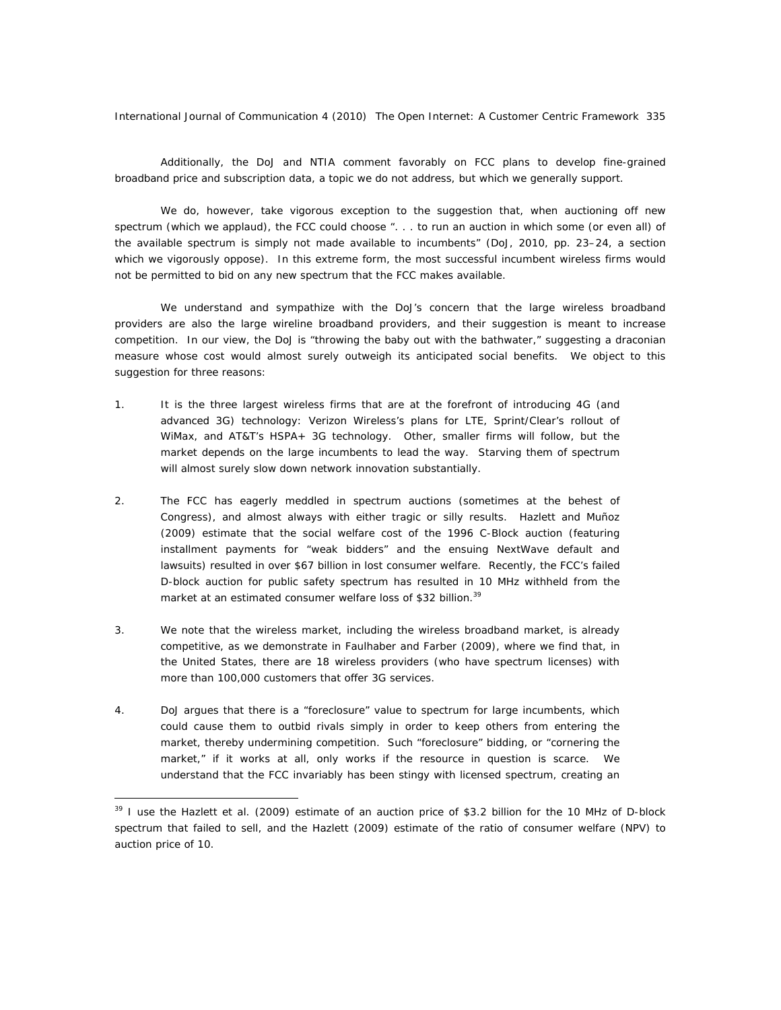Additionally, the DoJ and NTIA comment favorably on FCC plans to develop fine-grained broadband price and subscription data, a topic we do not address, but which we generally support.

We do, however, take vigorous exception to the suggestion that, when auctioning off new spectrum (which we applaud), the FCC could choose ". . . to run an auction in which some (or even all) of the available spectrum is simply not made available to incumbents" (DoJ, 2010, pp. 23–24, a section which we vigorously oppose). In this extreme form, the most successful incumbent wireless firms would not be permitted to bid on any new spectrum that the FCC makes available.

We understand and sympathize with the DoJ's concern that the large wireless broadband providers are also the large wireline broadband providers, and their suggestion is meant to increase competition. In our view, the DoJ is "throwing the baby out with the bathwater," suggesting a draconian measure whose cost would almost surely outweigh its anticipated social benefits. We object to this suggestion for three reasons:

- 1. It is the three largest wireless firms that are at the forefront of introducing 4G (and advanced 3G) technology: Verizon Wireless's plans for LTE, Sprint/Clear's rollout of WiMax, and AT&T's HSPA+ 3G technology. Other, smaller firms will follow, but the market depends on the large incumbents to lead the way. Starving them of spectrum will almost surely slow down network innovation substantially.
- 2. The FCC has eagerly meddled in spectrum auctions (sometimes at the behest of Congress), and almost always with either tragic or silly results. Hazlett and Muñoz (2009) estimate that the social welfare cost of the 1996 C-Block auction (featuring installment payments for "weak bidders" and the ensuing NextWave default and lawsuits) resulted in over \$67 billion in lost consumer welfare. Recently, the FCC's failed D-block auction for public safety spectrum has resulted in 10 MHz withheld from the market at an estimated consumer welfare loss of \$32 billion.<sup>39</sup>
- 3. We note that the wireless market, including the wireless broadband market, is already competitive, as we demonstrate in Faulhaber and Farber (2009), where we find that, in the United States, there are 18 wireless providers (who have spectrum licenses) with more than 100,000 customers that offer 3G services.
- 4. DoJ argues that there is a "foreclosure" value to spectrum for large incumbents, which could cause them to outbid rivals simply in order to keep others from entering the market, thereby undermining competition. Such "foreclosure" bidding, or "cornering the market," if it works at all, only works if the resource in question is scarce. We understand that the FCC invariably has been stingy with licensed spectrum, creating an

 $39$  I use the Hazlett et al. (2009) estimate of an auction price of \$3.2 billion for the 10 MHz of D-block spectrum that failed to sell, and the Hazlett (2009) estimate of the ratio of consumer welfare (NPV) to auction price of 10.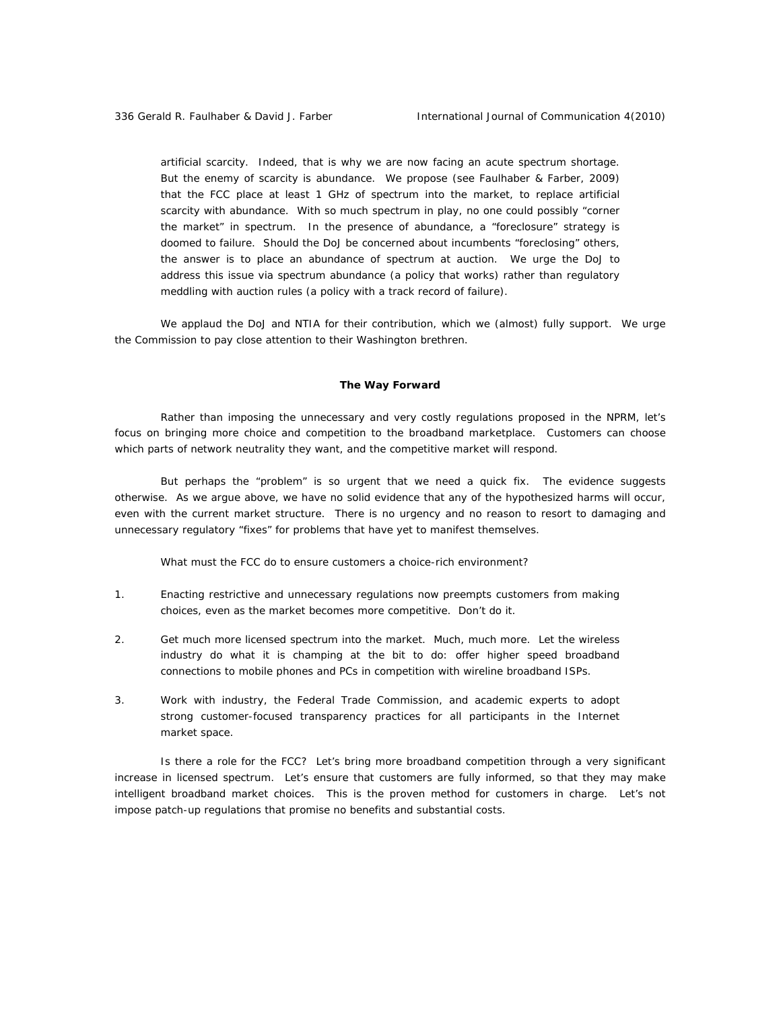artificial scarcity. Indeed, that is why we are now facing an acute spectrum shortage. But the enemy of scarcity is abundance. We propose (see Faulhaber & Farber, 2009) that the FCC place at least 1 GHz of spectrum into the market, to replace artificial scarcity with abundance. With so much spectrum in play, no one could possibly "corner the market" in spectrum. In the presence of abundance, a "foreclosure" strategy is doomed to failure. Should the DoJ be concerned about incumbents "foreclosing" others, the answer is to place an abundance of spectrum at auction. We urge the DoJ to address this issue via spectrum abundance (a policy that works) rather than regulatory meddling with auction rules (a policy with a track record of failure).

We applaud the DoJ and NTIA for their contribution, which we (almost) fully support. We urge the Commission to pay close attention to their Washington brethren.

# **The Way Forward**

Rather than imposing the unnecessary and very costly regulations proposed in the NPRM, let's focus on bringing more choice and competition to the broadband marketplace. Customers can choose which parts of network neutrality they want, and the competitive market will respond.

But perhaps the "problem" is so urgent that we need a quick fix. The evidence suggests otherwise. As we argue above, we have no solid evidence that any of the hypothesized harms will occur, even with the current market structure. There is no urgency and no reason to resort to damaging and unnecessary regulatory "fixes" for problems that have yet to manifest themselves.

What must the FCC do to ensure customers a choice-rich environment?

- 1. Enacting restrictive and unnecessary regulations now preempts customers from making choices, even as the market becomes more competitive. Don't do it.
- 2. Get much more licensed spectrum into the market. Much, much more. Let the wireless industry do what it is champing at the bit to do: offer higher speed broadband connections to mobile phones and PCs in competition with wireline broadband ISPs.
- 3. Work with industry, the Federal Trade Commission, and academic experts to adopt strong customer-focused transparency practices for *all* participants in the Internet market space.

Is there a role for the FCC? Let's bring more broadband competition through a very significant increase in licensed spectrum. Let's ensure that customers are fully informed, so that they may make intelligent broadband market choices. This is the proven method for customers in charge. Let's *not* impose patch-up regulations that promise no benefits and substantial costs.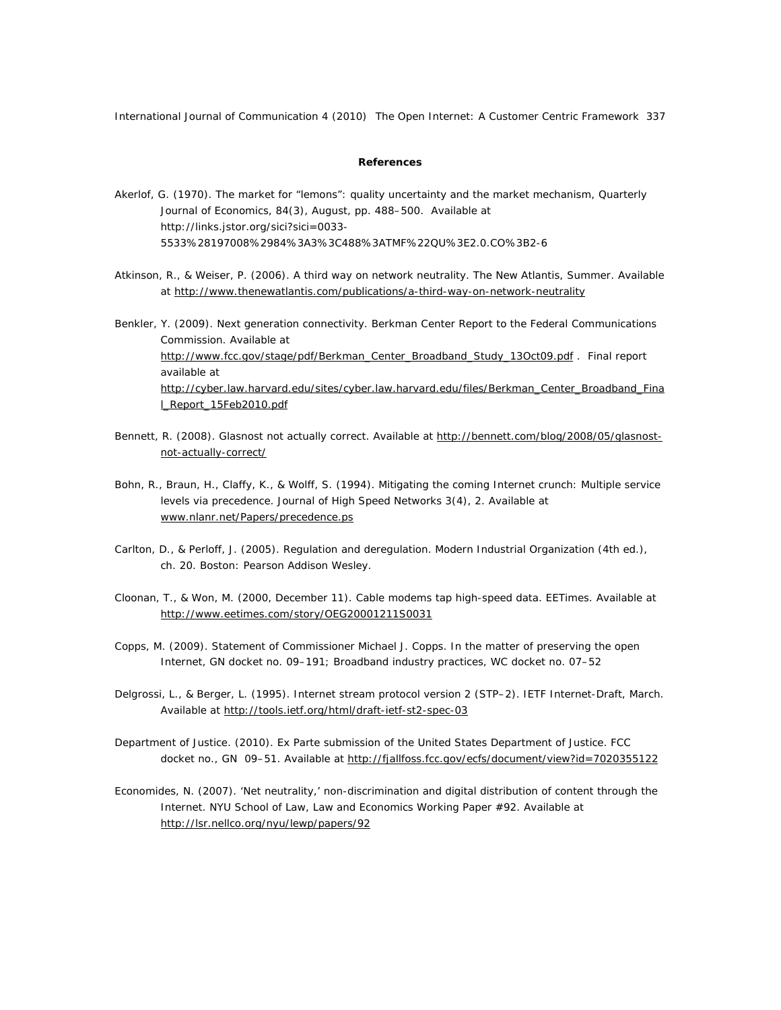# **References**

- Akerlof, G. (1970). The market for "lemons": quality uncertainty and the market mechanism, *Quarterly Journal of Economics*, *84*(3), August, pp. 488–500. Available at http://links.jstor.org/sici?sici=0033-5533%28197008%2984%3A3%3C488%3ATMF%22QU%3E2.0.CO%3B2-6
- Atkinson, R., & Weiser, P. (2006). A third way on network neutrality. *The New Atlantis*, Summer. Available at http://www.thenewatlantis.com/publications/a-third-way-on-network-neutrality
- Benkler, Y. (2009). Next generation connectivity. *Berkman Center Report to the Federal Communications Commission*. Available at http://www.fcc.gov/stage/pdf/Berkman\_Center\_Broadband\_Study\_13Oct09.pdf . Final report available at http://cyber.law.harvard.edu/sites/cyber.law.harvard.edu/files/Berkman\_Center\_Broadband\_Fina l\_Report\_15Feb2010.pdf
- Bennett, R. (2008). Glasnost not actually correct. Available at http://bennett.com/blog/2008/05/glasnostnot-actually-correct/
- Bohn, R., Braun, H., Claffy, K., & Wolff, S. (1994). Mitigating the coming Internet crunch: Multiple service levels via precedence. *Journal of High Speed Networks 3*(4), 2. Available at www.nlanr.net/Papers/precedence.ps
- Carlton, D., & Perloff, J. (2005). Regulation and deregulation. *Modern Industrial Organization* (4th ed.), ch. 20. Boston: Pearson Addison Wesley.
- Cloonan, T., & Won, M. (2000, December 11). Cable modems tap high-speed data. *EETimes.* Available at http://www.eetimes.com/story/OEG20001211S0031
- Copps, M. (2009). Statement of Commissioner Michael J. Copps. *In the matter of preserving the open Internet*, GN docket no. 09–191; *Broadband industry practices*, WC docket no. 07–52
- Delgrossi, L., & Berger, L. (1995). Internet stream protocol version 2 (STP–2). *IETF Internet-Draft*, March. Available at http://tools.ietf.org/html/draft-ietf-st2-spec-03
- Department of Justice. (2010). *Ex Parte* submission of the United States Department of Justice. *FCC*  docket no., GN 09-51. Available at http://fjallfoss.fcc.gov/ecfs/document/view?id=7020355122
- Economides, N. (2007). 'Net neutrality,' non-discrimination and digital distribution of content through the Internet. *NYU School of Law, Law and Economics Working Paper #92*. Available at http://lsr.nellco.org/nyu/lewp/papers/92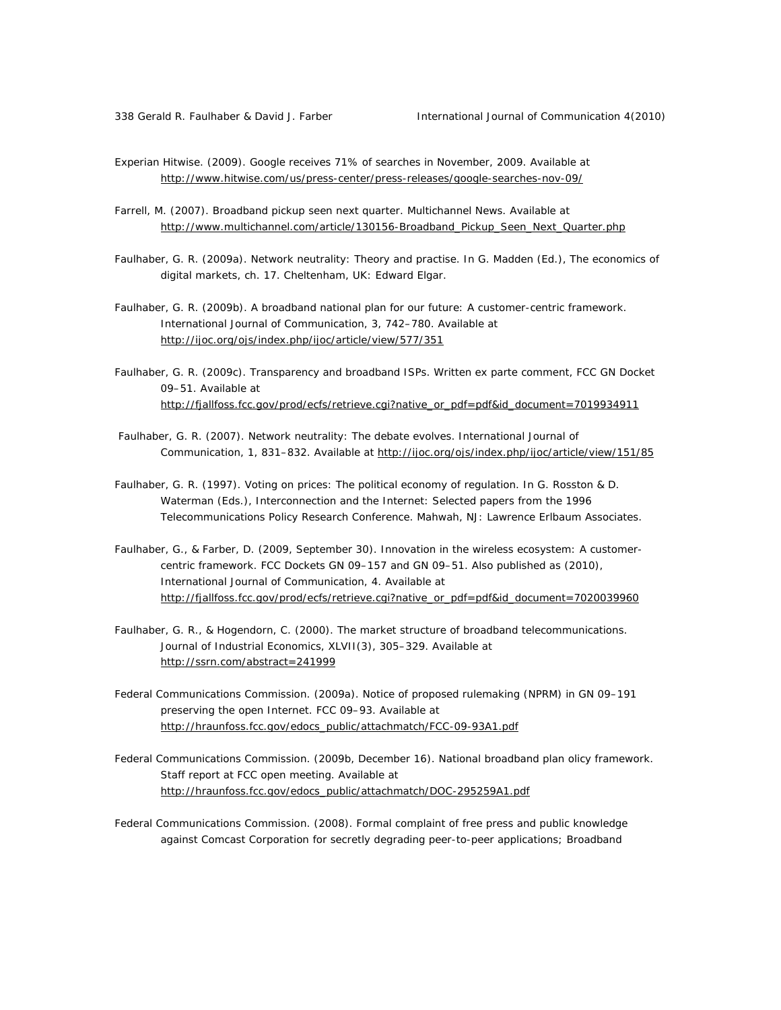- Experian Hitwise. (2009). Google receives 71% of searches in November, 2009. Available at http://www.hitwise.com/us/press-center/press-releases/google-searches-nov-09/
- Farrell, M. (2007). Broadband pickup seen next quarter. *Multichannel News*. Available at http://www.multichannel.com/article/130156-Broadband\_Pickup\_Seen\_Next\_Quarter.php
- Faulhaber, G. R. (2009a). Network neutrality: Theory and practise. In G. Madden (Ed.), *The economics of digital markets*, ch. 17. Cheltenham, UK: Edward Elgar.
- Faulhaber, G. R. (2009b). A broadband national plan for our future: A customer-centric framework. *International Journal of Communication, 3*, 742–780. Available at http://ijoc.org/ojs/index.php/ijoc/article/view/577/351
- Faulhaber, G. R. (2009c). Transparency and broadband ISPs. Written *ex parte* comment, FCC GN Docket 09–51. Available at http://fjallfoss.fcc.gov/prod/ecfs/retrieve.cgi?native\_or\_pdf=pdf&id\_document=7019934911
- Faulhaber, G. R. (2007). Network neutrality: The debate evolves. *International Journal of Communication*, *1*, 831–832. Available at http://ijoc.org/ojs/index.php/ijoc/article/view/151/85
- Faulhaber, G. R. (1997). Voting on prices: The political economy of regulation. In G. Rosston & D. Waterman (Eds.), *Interconnection and the Internet: Selected papers from the 1996 Telecommunications Policy Research Conference.* Mahwah, NJ: Lawrence Erlbaum Associates.
- Faulhaber, G., & Farber, D. (2009, September 30). Innovation in the wireless ecosystem: A customercentric framework. *FCC Dockets GN 09–157 and GN 09–51*. Also published as (2010), *International Journal of Communication, 4*. Available at http://fjallfoss.fcc.gov/prod/ecfs/retrieve.cgi?native\_or\_pdf=pdf&id\_document=7020039960
- Faulhaber, G. R., & Hogendorn, C. (2000). The market structure of broadband telecommunications. *Journal of Industrial Economics*, *XLVII*(3), 305–329. Available at http://ssrn.com/abstract=241999
- Federal Communications Commission. (2009a). Notice of proposed rulemaking (NPRM) in GN 09–191 preserving the open Internet. *FCC 09–93.* Available at http://hraunfoss.fcc.gov/edocs\_public/attachmatch/FCC-09-93A1.pdf
- Federal Communications Commission. (2009b, December 16). National broadband plan olicy framework. *Staff report at FCC open meeting*. Available at http://hraunfoss.fcc.gov/edocs\_public/attachmatch/DOC-295259A1.pdf
- Federal Communications Commission. (2008). *Formal complaint of free press and public knowledge against Comcast Corporation for secretly degrading peer-to-peer applications; Broadband*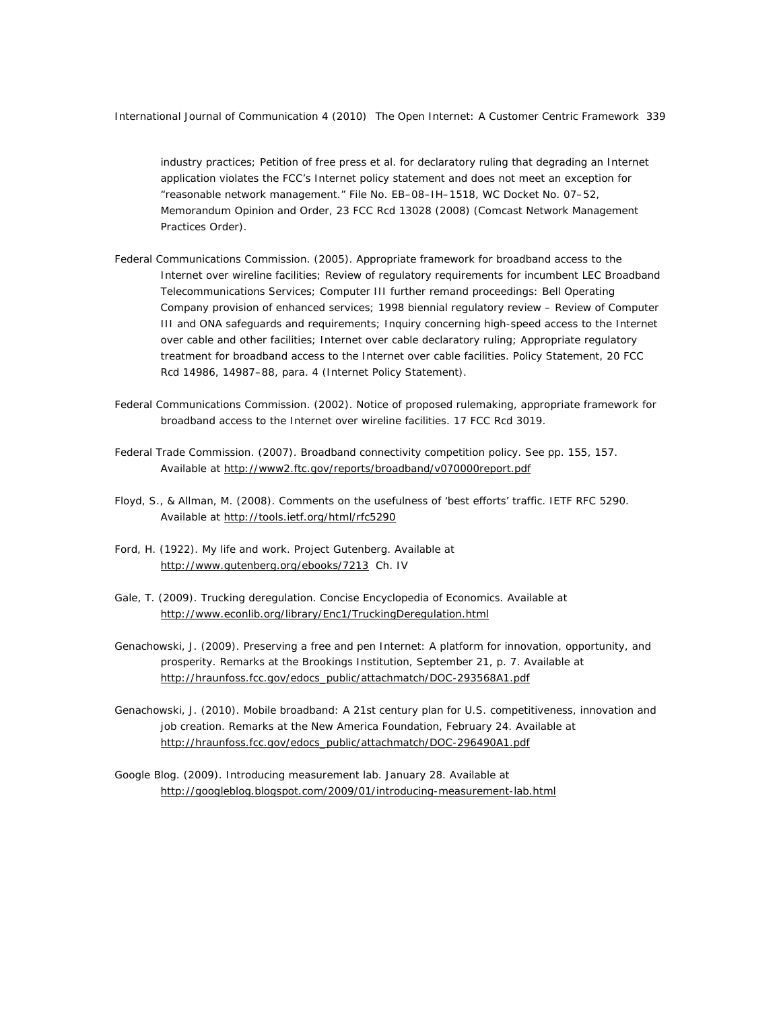industry practices; Petition of free press et al. for declaratory ruling that degrading an Internet *application violates the FCC's Internet policy statement and does not meet an exception for "reasonable network management."* File No. EB–08–IH–1518, WC Docket No. 07–52, Memorandum Opinion and Order, 23 FCC Rcd 13028 (2008) (*Comcast Network Management Practices Order*).

- Federal Communications Commission. (2005). *Appropriate framework for broadband access to the Internet over wireline facilities; Review of regulatory requirements for incumbent LEC Broadband Telecommunications Services; Computer III further remand proceedings: Bell Operating Company provision of enhanced services; 1998 biennial regulatory review – Review of Computer III and ONA safeguards and requirements; Inquiry concerning high-speed access to the Internet over cable and other facilities; Internet over cable declaratory ruling; Appropriate regulatory treatment for broadband access to the Internet over cable facilities*. Policy Statement, 20 FCC Rcd 14986, 14987–88, para. 4 (*Internet Policy Statement*).
- Federal Communications Commission. (2002). Notice of proposed rulemaking, appropriate framework for broadband access to the Internet over wireline facilities. 17 FCC Rcd 3019.
- Federal Trade Commission. (2007). Broadband connectivity competition policy. See pp. 155, 157. Available at http://www2.ftc.gov/reports/broadband/v070000report.pdf
- Floyd, S., & Allman, M. (2008). Comments on the usefulness of 'best efforts' traffic. *IETF RFC 5290*. Available at http://tools.ietf.org/html/rfc5290
- Ford, H. (1922). My life and work. *Project Gutenberg.* Available at http://www.gutenberg.org/ebooks/7213 Ch. IV
- Gale, T. (2009). Trucking deregulation. *Concise Encyclopedia of Economics.* Available at http://www.econlib.org/library/Enc1/TruckingDeregulation.html
- Genachowski, J. (2009). Preserving a free and pen Internet: A platform for innovation, opportunity, and prosperity. Remarks at the Brookings Institution, September 21, p. 7. Available at http://hraunfoss.fcc.gov/edocs\_public/attachmatch/DOC-293568A1.pdf
- Genachowski, J. (2010). Mobile broadband: A 21st century plan for U.S. competitiveness, innovation and job creation. Remarks at the New America Foundation, February 24. Available at http://hraunfoss.fcc.gov/edocs\_public/attachmatch/DOC-296490A1.pdf
- Google Blog. (2009). Introducing measurement lab. January 28. Available at http://googleblog.blogspot.com/2009/01/introducing-measurement-lab.html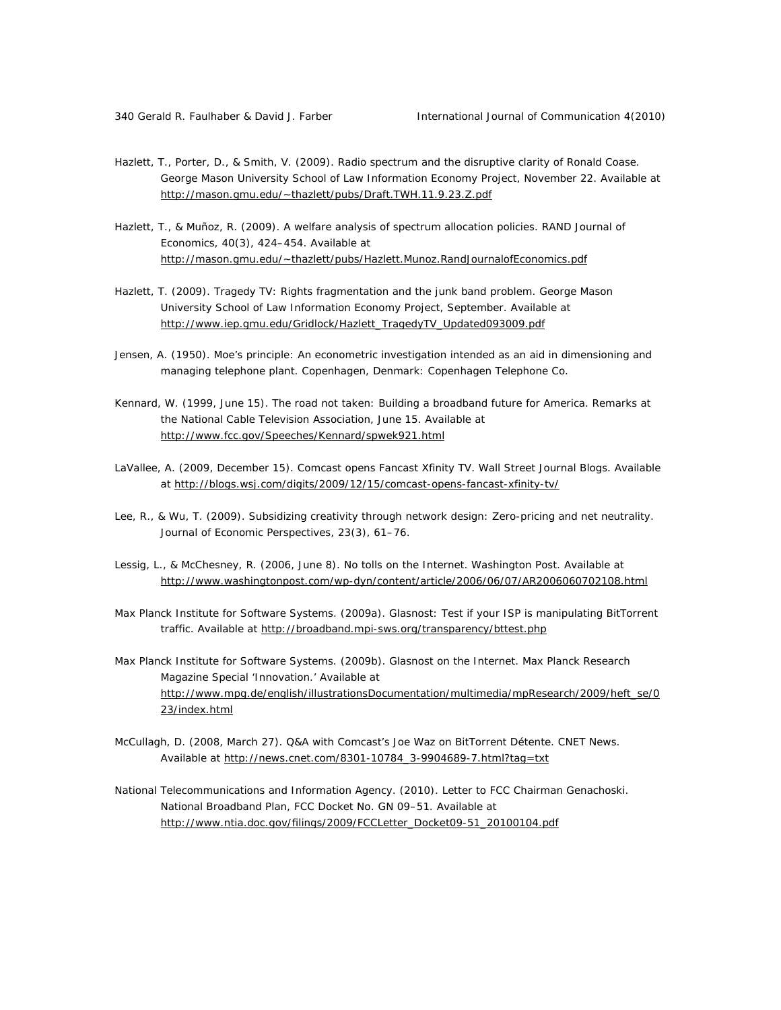- Hazlett, T., Porter, D., & Smith, V. (2009). Radio spectrum and the disruptive clarity of Ronald Coase. George Mason University School of Law Information Economy Project, November 22. Available at http://mason.gmu.edu/~thazlett/pubs/Draft.TWH.11.9.23.Z.pdf
- Hazlett, T., & Muñoz, R. (2009). A welfare analysis of spectrum allocation policies. *RAND Journal of Economics, 40*(3), 424–454. Available at http://mason.gmu.edu/~thazlett/pubs/Hazlett.Munoz.RandJournalofEconomics.pdf
- Hazlett, T. (2009). Tragedy TV: Rights fragmentation and the junk band problem. George Mason University School of Law Information Economy Project, September. Available at http://www.iep.gmu.edu/Gridlock/Hazlett\_TragedyTV\_Updated093009.pdf
- Jensen, A. (1950). *Moe's principle: An econometric investigation intended as an aid in dimensioning and managing telephone plant*. Copenhagen, Denmark: Copenhagen Telephone Co.
- Kennard, W. (1999, June 15). The road not taken: Building a broadband future for America. *Remarks at the National Cable Television Association*, June 15. Available at http://www.fcc.gov/Speeches/Kennard/spwek921.html
- LaVallee, A. (2009, December 15). Comcast opens Fancast Xfinity TV. *Wall Street Journal Blogs*. Available at http://blogs.wsj.com/digits/2009/12/15/comcast-opens-fancast-xfinity-tv/
- Lee, R., & Wu, T. (2009). Subsidizing creativity through network design: Zero-pricing and net neutrality. *Journal of Economic Perspectives, 23*(3), 61–76.
- Lessig, L., & McChesney, R. (2006, June 8). No tolls on the Internet. *Washington Post*. Available at http://www.washingtonpost.com/wp-dyn/content/article/2006/06/07/AR2006060702108.html
- Max Planck Institute for Software Systems. (2009a). Glasnost: Test if your ISP is manipulating BitTorrent traffic. Available at http://broadband.mpi-sws.org/transparency/bttest.php
- Max Planck Institute for Software Systems. (2009b). Glasnost on the Internet. *Max Planck Research Magazine Special 'Innovation.'* Available at http://www.mpg.de/english/illustrationsDocumentation/multimedia/mpResearch/2009/heft\_se/0 23/index.html
- McCullagh, D. (2008, March 27). Q&A with Comcast's Joe Waz on BitTorrent Détente. *CNET News.*  Available at http://news.cnet.com/8301-10784\_3-9904689-7.html?tag=txt
- National Telecommunications and Information Agency. (2010). Letter to FCC Chairman Genachoski. *National Broadband Plan, FCC Docket No. GN 09–51*. Available at http://www.ntia.doc.gov/filings/2009/FCCLetter\_Docket09-51\_20100104.pdf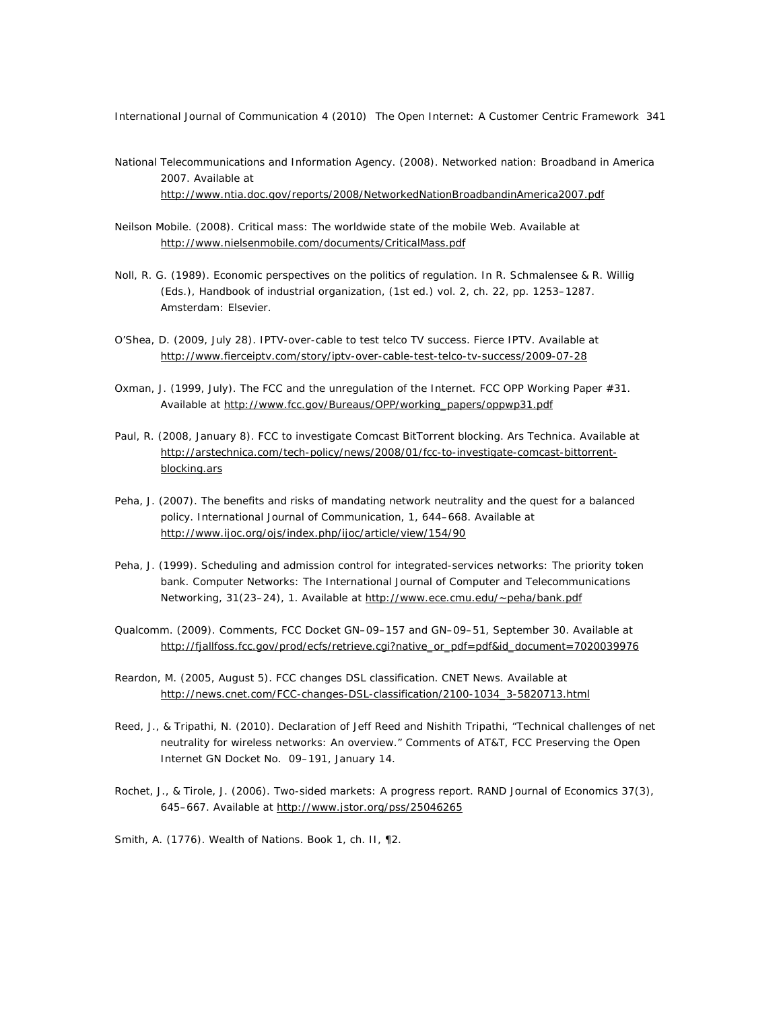- National Telecommunications and Information Agency. (2008). Networked nation: Broadband in America 2007. Available at http://www.ntia.doc.gov/reports/2008/NetworkedNationBroadbandinAmerica2007.pdf
- Neilson Mobile. (2008). Critical mass: The worldwide state of the mobile Web. Available at http://www.nielsenmobile.com/documents/CriticalMass.pdf
- Noll, R. G. (1989). Economic perspectives on the politics of regulation. In R. Schmalensee & R. Willig (Eds.), *Handbook of industrial organization*, (1st ed.) vol. 2, ch. 22, pp. 1253–1287. Amsterdam: Elsevier.
- O'Shea, D. (2009, July 28). IPTV-over-cable to test telco TV success. *Fierce IPTV*. Available at http://www.fierceiptv.com/story/iptv-over-cable-test-telco-tv-success/2009-07-28
- Oxman, J. (1999, July). The FCC and the unregulation of the Internet. *FCC OPP Working Paper #31*. Available at http://www.fcc.gov/Bureaus/OPP/working\_papers/oppwp31.pdf
- Paul, R. (2008, January 8). FCC to investigate Comcast BitTorrent blocking. *Ars Technica*. Available at http://arstechnica.com/tech-policy/news/2008/01/fcc-to-investigate-comcast-bittorrentblocking.ars
- Peha, J. (2007). The benefits and risks of mandating network neutrality and the quest for a balanced policy. *International Journal of Communication, 1,* 644–668. Available at http://www.ijoc.org/ojs/index.php/ijoc/article/view/154/90
- Peha, J. (1999). Scheduling and admission control for integrated-services networks: The priority token bank. *Computer Networks: The International Journal of Computer and Telecommunications Networking*, *31*(23–24), 1. Available at http://www.ece.cmu.edu/~peha/bank.pdf
- Qualcomm. (2009). Comments, *FCC Docket GN–09–157 and GN–09–51*, September 30. Available at http://fjallfoss.fcc.gov/prod/ecfs/retrieve.cgi?native\_or\_pdf=pdf&id\_document=7020039976
- Reardon, M. (2005, August 5). FCC changes DSL classification. *CNET News*. Available at http://news.cnet.com/FCC-changes-DSL-classification/2100-1034\_3-5820713.html
- Reed, J., & Tripathi, N. (2010). Declaration of Jeff Reed and Nishith Tripathi, "Technical challenges of net neutrality for wireless networks: An overview." Comments of AT&T, *FCC Preserving the Open Internet* GN Docket No. 09–191, January 14.
- Rochet, J., & Tirole, J. (2006). Two-sided markets: A progress report. *RAND Journal of Economics 37*(3), 645–667. Available at http://www.jstor.org/pss/25046265

Smith, A. (1776). *Wealth of Nations*. Book 1, ch. II, ¶2.